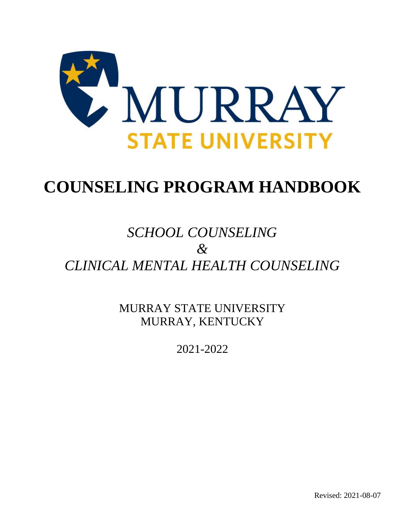

# **COUNSELING PROGRAM HANDBOOK**

# *SCHOOL COUNSELING & CLINICAL MENTAL HEALTH COUNSELING*

MURRAY STATE UNIVERSITY MURRAY, KENTUCKY

2021-2022

Revised: 2021-08-07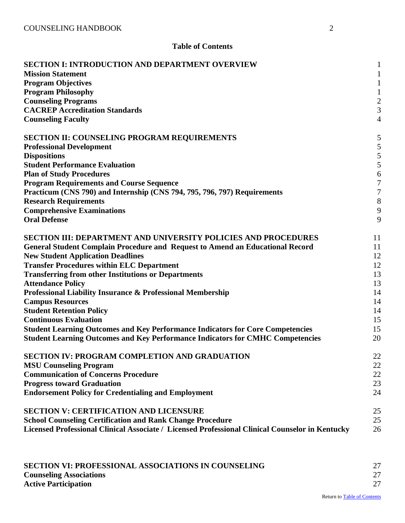# **Table of Contents**

| <b>SECTION I: INTRODUCTION AND DEPARTMENT OVERVIEW</b><br><b>Mission Statement</b><br><b>Program Objectives</b><br><b>Program Philosophy</b><br><b>Counseling Programs</b><br><b>CACREP Accreditation Standards</b>                                                                                                                                                                                                                                                                                                                                                                                                                                                                                   | $\mathbf{1}$<br>$\mathbf{1}$<br>$\mathbf{1}$<br>$\mathbf{1}$<br>$rac{2}{3}$ |
|-------------------------------------------------------------------------------------------------------------------------------------------------------------------------------------------------------------------------------------------------------------------------------------------------------------------------------------------------------------------------------------------------------------------------------------------------------------------------------------------------------------------------------------------------------------------------------------------------------------------------------------------------------------------------------------------------------|-----------------------------------------------------------------------------|
| <b>Counseling Faculty</b>                                                                                                                                                                                                                                                                                                                                                                                                                                                                                                                                                                                                                                                                             | $\overline{4}$                                                              |
| <b>SECTION II: COUNSELING PROGRAM REQUIREMENTS</b><br><b>Professional Development</b><br><b>Dispositions</b><br><b>Student Performance Evaluation</b><br><b>Plan of Study Procedures</b><br><b>Program Requirements and Course Sequence</b><br>Practicum (CNS 790) and Internship (CNS 794, 795, 796, 797) Requirements                                                                                                                                                                                                                                                                                                                                                                               | 5<br>5<br>5<br>5<br>6<br>$\overline{7}$<br>$\overline{7}$                   |
| <b>Research Requirements</b>                                                                                                                                                                                                                                                                                                                                                                                                                                                                                                                                                                                                                                                                          | 8                                                                           |
| <b>Comprehensive Examinations</b><br><b>Oral Defense</b>                                                                                                                                                                                                                                                                                                                                                                                                                                                                                                                                                                                                                                              | 9<br>9                                                                      |
|                                                                                                                                                                                                                                                                                                                                                                                                                                                                                                                                                                                                                                                                                                       |                                                                             |
| <b>SECTION III: DEPARTMENT AND UNIVERSITY POLICIES AND PROCEDURES</b><br><b>General Student Complain Procedure and Request to Amend an Educational Record</b><br><b>New Student Application Deadlines</b><br><b>Transfer Procedures within ELC Department</b><br><b>Transferring from other Institutions or Departments</b><br><b>Attendance Policy</b><br>Professional Liability Insurance & Professional Membership<br><b>Campus Resources</b><br><b>Student Retention Policy</b><br><b>Continuous Evaluation</b><br><b>Student Learning Outcomes and Key Performance Indicators for Core Competencies</b><br><b>Student Learning Outcomes and Key Performance Indicators for CMHC Competencies</b> | 11<br>11<br>12<br>12<br>13<br>13<br>14<br>14<br>14<br>15<br>15<br>20        |
| SECTION IV: PROGRAM COMPLETION AND GRADUATION                                                                                                                                                                                                                                                                                                                                                                                                                                                                                                                                                                                                                                                         | 22                                                                          |
| <b>MSU Counseling Program</b><br><b>Communication of Concerns Procedure</b>                                                                                                                                                                                                                                                                                                                                                                                                                                                                                                                                                                                                                           | 22<br>22                                                                    |
| <b>Progress toward Graduation</b>                                                                                                                                                                                                                                                                                                                                                                                                                                                                                                                                                                                                                                                                     | 23                                                                          |
| <b>Endorsement Policy for Credentialing and Employment</b>                                                                                                                                                                                                                                                                                                                                                                                                                                                                                                                                                                                                                                            | 24                                                                          |
| <b>SECTION V: CERTIFICATION AND LICENSURE</b><br><b>School Counseling Certification and Rank Change Procedure</b><br>Licensed Professional Clinical Associate / Licensed Professional Clinical Counselor in Kentucky                                                                                                                                                                                                                                                                                                                                                                                                                                                                                  | 25<br>25<br>26                                                              |

| <b>SECTION VI: PROFESSIONAL ASSOCIATIONS IN COUNSELING</b> |    |
|------------------------------------------------------------|----|
| <b>Counseling Associations</b>                             | 27 |
| <b>Active Participation</b>                                |    |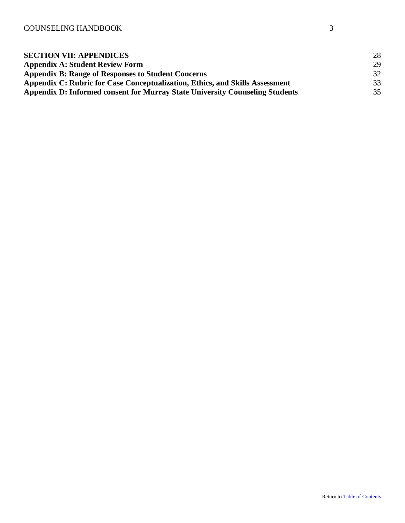| <b>SECTION VII: APPENDICES</b>                                               | 28 |
|------------------------------------------------------------------------------|----|
| <b>Appendix A: Student Review Form</b>                                       | 29 |
| <b>Appendix B: Range of Responses to Student Concerns</b>                    | 32 |
| Appendix C: Rubric for Case Conceptualization, Ethics, and Skills Assessment | 33 |
| Appendix D: Informed consent for Murray State University Counseling Students | 35 |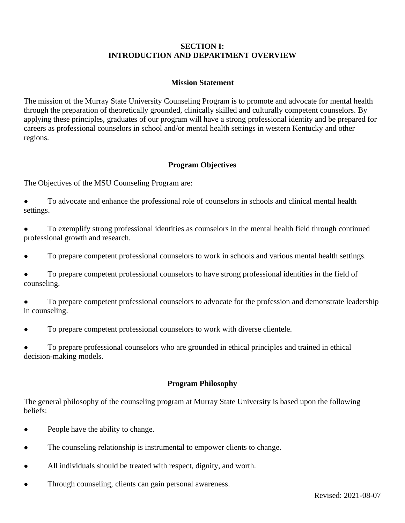# **SECTION I: INTRODUCTION AND DEPARTMENT OVERVIEW**

# **Mission Statement**

<span id="page-3-1"></span><span id="page-3-0"></span>The mission of the Murray State University Counseling Program is to promote and advocate for mental health through the preparation of theoretically grounded, clinically skilled and culturally competent counselors. By applying these principles, graduates of our program will have a strong professional identity and be prepared for careers as professional counselors in school and/or mental health settings in western Kentucky and other regions.

# **Program Objectives**

<span id="page-3-2"></span>The Objectives of the MSU Counseling Program are:

- To advocate and enhance the professional role of counselors in schools and clinical mental health settings.
- To exemplify strong professional identities as counselors in the mental health field through continued professional growth and research.
- To prepare competent professional counselors to work in schools and various mental health settings.
- To prepare competent professional counselors to have strong professional identities in the field of counseling.
- To prepare competent professional counselors to advocate for the profession and demonstrate leadership in counseling.
- To prepare competent professional counselors to work with diverse clientele.

<span id="page-3-3"></span>To prepare professional counselors who are grounded in ethical principles and trained in ethical decision-making models.

# **Program Philosophy**

The general philosophy of the counseling program at Murray State University is based upon the following beliefs:

- People have the ability to change.
- The counseling relationship is instrumental to empower clients to change.
- All individuals should be treated with respect, dignity, and worth.
- Through counseling, clients can gain personal awareness.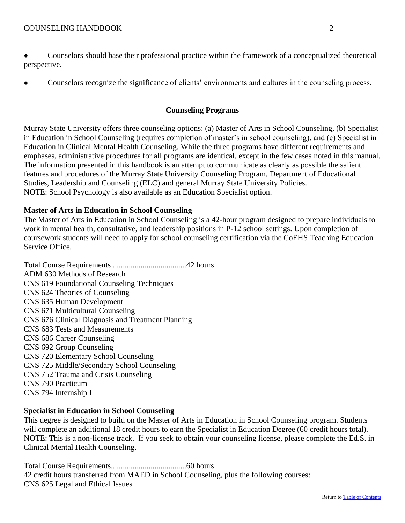● Counselors should base their professional practice within the framework of a conceptualized theoretical perspective.

<span id="page-4-0"></span>• Counselors recognize the significance of clients' environments and cultures in the counseling process.

## **Counseling Programs**

Murray State University offers three counseling options: (a) Master of Arts in School Counseling, (b) Specialist in Education in School Counseling (requires completion of master's in school counseling), and (c) Specialist in Education in Clinical Mental Health Counseling. While the three programs have different requirements and emphases, administrative procedures for all programs are identical, except in the few cases noted in this manual. The information presented in this handbook is an attempt to communicate as clearly as possible the salient features and procedures of the Murray State University Counseling Program, Department of Educational Studies, Leadership and Counseling (ELC) and general Murray State University Policies. NOTE: School Psychology is also available as an Education Specialist option.

# **Master of Arts in Education in School Counseling**

The Master of Arts in Education in School Counseling is a 42-hour program designed to prepare individuals to work in mental health, consultative, and leadership positions in P-12 school settings. Upon completion of coursework students will need to apply for school counseling certification via the CoEHS Teaching Education Service Office.

Total Course Requirements .....................................42 hours ADM 630 Methods of Research CNS 619 Foundational Counseling Techniques CNS 624 Theories of Counseling CNS 635 Human Development CNS 671 Multicultural Counseling CNS 676 Clinical Diagnosis and Treatment Planning CNS 683 Tests and Measurements CNS 686 Career Counseling CNS 692 Group Counseling CNS 720 Elementary School Counseling CNS 725 Middle/Secondary School Counseling CNS 752 Trauma and Crisis Counseling CNS 790 Practicum CNS 794 Internship I

# **Specialist in Education in School Counseling**

This degree is designed to build on the Master of Arts in Education in School Counseling program. Students will complete an additional 18 credit hours to earn the Specialist in Education Degree (60 credit hours total). NOTE: This is a non-license track. If you seek to obtain your counseling license, please complete the Ed.S. in Clinical Mental Health Counseling.

Total Course Requirements......................................60 hours 42 credit hours transferred from MAED in School Counseling, plus the following courses: CNS 625 Legal and Ethical Issues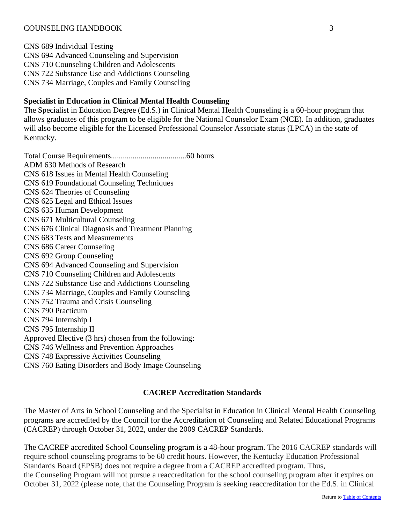CNS 689 Individual Testing CNS 694 Advanced Counseling and Supervision CNS 710 Counseling Children and Adolescents CNS 722 Substance Use and Addictions Counseling CNS 734 Marriage, Couples and Family Counseling

# **Specialist in Education in Clinical Mental Health Counseling**

The Specialist in Education Degree (Ed.S.) in Clinical Mental Health Counseling is a 60-hour program that allows graduates of this program to be eligible for the National Counselor Exam (NCE). In addition, graduates will also become eligible for the Licensed Professional Counselor Associate status (LPCA) in the state of Kentucky.

Total Course Requirements......................................60 hours ADM 630 Methods of Research CNS 618 Issues in Mental Health Counseling CNS 619 Foundational Counseling Techniques CNS 624 Theories of Counseling CNS 625 Legal and Ethical Issues CNS 635 Human Development CNS 671 Multicultural Counseling CNS 676 Clinical Diagnosis and Treatment Planning CNS 683 Tests and Measurements CNS 686 Career Counseling CNS 692 Group Counseling CNS 694 Advanced Counseling and Supervision CNS 710 Counseling Children and Adolescents CNS 722 Substance Use and Addictions Counseling CNS 734 Marriage, Couples and Family Counseling CNS 752 Trauma and Crisis Counseling CNS 790 Practicum CNS 794 Internship I CNS 795 Internship II Approved Elective (3 hrs) chosen from the following: CNS 746 Wellness and Prevention Approaches CNS 748 Expressive Activities Counseling CNS 760 Eating Disorders and Body Image Counseling

# **CACREP Accreditation Standards**

<span id="page-5-0"></span>The Master of Arts in School Counseling and the Specialist in Education in Clinical Mental Health Counseling programs are accredited by the Council for the Accreditation of Counseling and Related Educational Programs (CACREP) through October 31, 2022, under the 2009 CACREP Standards.

The CACREP accredited School Counseling program is a 48-hour program. The 2016 CACREP standards will require school counseling programs to be 60 credit hours. However, the Kentucky Education Professional Standards Board (EPSB) does not require a degree from a CACREP accredited program. Thus, the Counseling Program will not pursue a reaccreditation for the school counseling program after it expires on October 31, 2022 (please note, that the Counseling Program is seeking reaccreditation for the Ed.S. in Clinical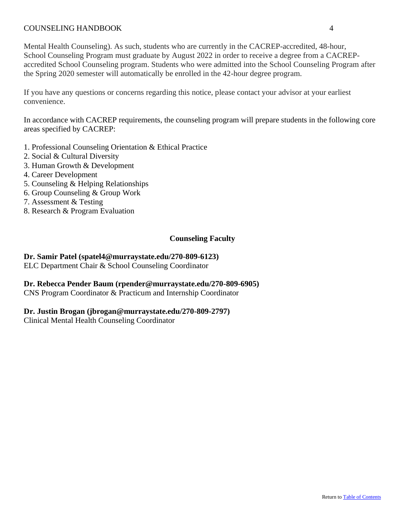Mental Health Counseling). As such, students who are currently in the CACREP-accredited, 48-hour, School Counseling Program must graduate by August 2022 in order to receive a degree from a CACREPaccredited School Counseling program. Students who were admitted into the School Counseling Program after the Spring 2020 semester will automatically be enrolled in the 42-hour degree program.

If you have any questions or concerns regarding this notice, please contact your advisor at your earliest convenience.

In accordance with CACREP requirements, the counseling program will prepare students in the following core areas specified by CACREP:

- 1. Professional Counseling Orientation & Ethical Practice
- 2. Social & Cultural Diversity
- 3. Human Growth & Development
- 4. Career Development
- 5. Counseling & Helping Relationships
- 6. Group Counseling & Group Work
- 7. Assessment & Testing
- <span id="page-6-0"></span>8. Research & Program Evaluation

# **Counseling Faculty**

#### **Dr. Samir Patel (spatel4@murraystate.edu/270-809-6123)**

ELC Department Chair & School Counseling Coordinator

# **Dr. Rebecca Pender Baum (rpender@murraystate.edu/270-809-6905)**

CNS Program Coordinator & Practicum and Internship Coordinator

#### **Dr. Justin Brogan (jbrogan@murraystate.edu/270-809-2797)**

<span id="page-6-1"></span>Clinical Mental Health Counseling Coordinator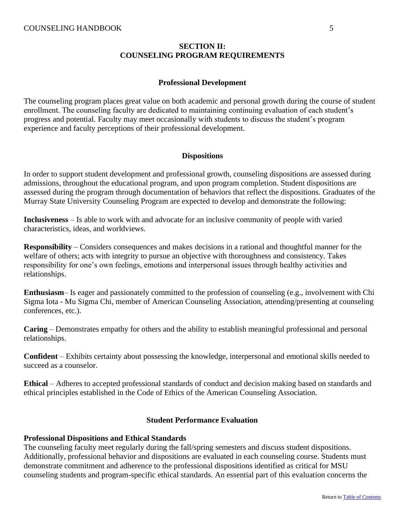# **SECTION II: COUNSELING PROGRAM REQUIREMENTS**

#### **Professional Development**

<span id="page-7-0"></span>The counseling program places great value on both academic and personal growth during the course of student enrollment. The counseling faculty are dedicated to maintaining continuing evaluation of each student's progress and potential. Faculty may meet occasionally with students to discuss the student's program experience and faculty perceptions of their professional development.

#### **Dispositions**

<span id="page-7-1"></span>In order to support student development and professional growth, counseling dispositions are assessed during admissions, throughout the educational program, and upon program completion. Student dispositions are assessed during the program through documentation of behaviors that reflect the dispositions. Graduates of the Murray State University Counseling Program are expected to develop and demonstrate the following:

**Inclusiveness** – Is able to work with and advocate for an inclusive community of people with varied characteristics, ideas, and worldviews.

**Responsibility** – Considers consequences and makes decisions in a rational and thoughtful manner for the welfare of others; acts with integrity to pursue an objective with thoroughness and consistency. Takes responsibility for one's own feelings, emotions and interpersonal issues through healthy activities and relationships.

**Enthusiasm**– Is eager and passionately committed to the profession of counseling (e.g., involvement with Chi Sigma Iota - Mu Sigma Chi, member of American Counseling Association, attending/presenting at counseling conferences, etc.).

**Caring** – Demonstrates empathy for others and the ability to establish meaningful professional and personal relationships.

**Confident** – Exhibits certainty about possessing the knowledge, interpersonal and emotional skills needed to succeed as a counselor.

<span id="page-7-2"></span>**Ethical** – Adheres to accepted professional standards of conduct and decision making based on standards and ethical principles established in the Code of Ethics of the American Counseling Association.

#### **Student Performance Evaluation**

#### **Professional Dispositions and Ethical Standards**

The counseling faculty meet regularly during the fall/spring semesters and discuss student dispositions. Additionally, professional behavior and dispositions are evaluated in each counseling course. Students must demonstrate commitment and adherence to the professional dispositions identified as critical for MSU counseling students and program-specific ethical standards. An essential part of this evaluation concerns the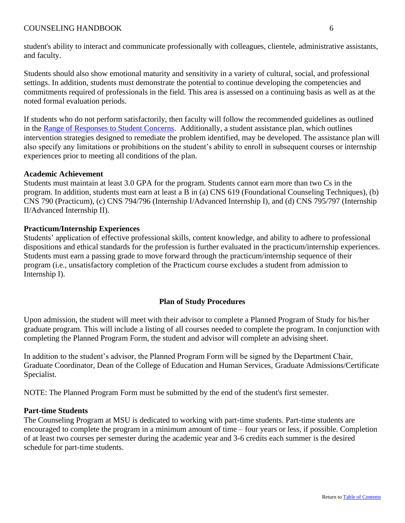student's ability to interact and communicate professionally with colleagues, clientele, administrative assistants, and faculty.

Students should also show emotional maturity and sensitivity in a variety of cultural, social, and professional settings. In addition, students must demonstrate the potential to continue developing the competencies and commitments required of professionals in the field. This area is assessed on a continuing basis as well as at the noted formal evaluation periods.

If students who do not perform satisfactorily, then faculty will follow the recommended guidelines as outlined in the [Range of Responses to Student Concerns.](#page-33-0) Additionally, a student assistance plan, which outlines intervention strategies designed to remediate the problem identified, may be developed. The assistance plan will also specify any limitations or prohibitions on the student's ability to enroll in subsequent courses or internship experiences prior to meeting all conditions of the plan.

#### **Academic Achievement**

Students must maintain at least 3.0 GPA for the program. Students cannot earn more than two Cs in the program. In addition, students must earn at least a B in (a) CNS 619 (Foundational Counseling Techniques), (b) CNS 790 (Practicum), (c) CNS 794/796 (Internship I/Advanced Internship I), and (d) CNS 795/797 (Internship II/Advanced Internship II).

#### **Practicum/Internship Experiences**

Students' application of effective professional skills, content knowledge, and ability to adhere to professional dispositions and ethical standards for the profession is further evaluated in the practicum/internship experiences. Students must earn a passing grade to move forward through the practicum/internship sequence of their program (i.e., unsatisfactory completion of the Practicum course excludes a student from admission to Internship I).

# **Plan of Study Procedures**

<span id="page-8-0"></span>Upon admission, the student will meet with their advisor to complete a Planned Program of Study for his/her graduate program. This will include a listing of all courses needed to complete the program. In conjunction with completing the Planned Program Form, the student and advisor will complete an advising sheet.

In addition to the student's advisor, the Planned Program Form will be signed by the Department Chair, Graduate Coordinator, Dean of the College of Education and Human Services, Graduate Admissions/Certificate Specialist.

NOTE: The Planned Program Form must be submitted by the end of the student's first semester.

#### **Part-time Students**

The Counseling Program at MSU is dedicated to working with part-time students. Part-time students are encouraged to complete the program in a minimum amount of time – four years or less, if possible. Completion of at least two courses per semester during the academic year and 3-6 credits each summer is the desired schedule for part-time students.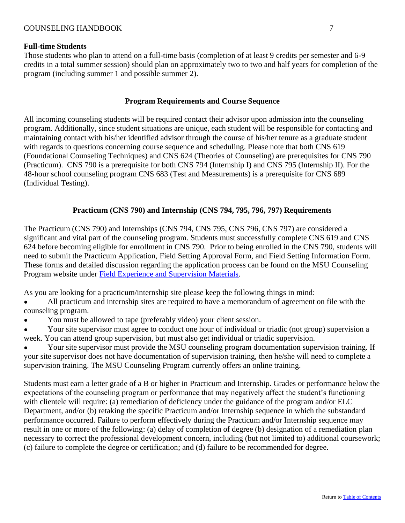#### **Full-time Students**

Those students who plan to attend on a full-time basis (completion of at least 9 credits per semester and 6-9 credits in a total summer session) should plan on approximately two to two and half years for completion of the program (including summer 1 and possible summer 2).

#### **Program Requirements and Course Sequence**

<span id="page-9-0"></span>All incoming counseling students will be required contact their advisor upon admission into the counseling program. Additionally, since student situations are unique, each student will be responsible for contacting and maintaining contact with his/her identified advisor through the course of his/her tenure as a graduate student with regards to questions concerning course sequence and scheduling. Please note that both CNS 619 (Foundational Counseling Techniques) and CNS 624 (Theories of Counseling) are prerequisites for CNS 790 (Practicum). CNS 790 is a prerequisite for both CNS 794 (Internship I) and CNS 795 (Internship II). For the 48-hour school counseling program CNS 683 (Test and Measurements) is a prerequisite for CNS 689 (Individual Testing).

# **Practicum (CNS 790) and Internship (CNS 794, 795, 796, 797) Requirements**

<span id="page-9-1"></span>The Practicum (CNS 790) and Internships (CNS 794, CNS 795, CNS 796, CNS 797) are considered a significant and vital part of the counseling program. Students must successfully complete CNS 619 and CNS 624 before becoming eligible for enrollment in CNS 790. Prior to being enrolled in the CNS 790, students will need to submit the Practicum Application, Field Setting Approval Form, and Field Setting Information Form. These forms and detailed discussion regarding the application process can be found on the MSU Counseling Program website under [Field Experience and Supervision Materials.](http://murraystate.edu/academics/CollegesDepartments/CollegeOfEducationandHumanServices/coehsacademicunits/EducationalStudiesLeadershipandCounseling/CounselingPrograms/fieldexpsupervisionmaterials/index.aspx)

As you are looking for a practicum/internship site please keep the following things in mind:

- All practicum and internship sites are required to have a memorandum of agreement on file with the counseling program.
- You must be allowed to tape (preferably video) your client session.
- Your site supervisor must agree to conduct one hour of individual or triadic (not group) supervision a week. You can attend group supervision, but must also get individual or triadic supervision.

Your site supervisor must provide the MSU counseling program documentation supervision training. If your site supervisor does not have documentation of supervision training, then he/she will need to complete a supervision training. The MSU Counseling Program currently offers an online training.

Students must earn a letter grade of a B or higher in Practicum and Internship. Grades or performance below the expectations of the counseling program or performance that may negatively affect the student's functioning with clientele will require: (a) remediation of deficiency under the guidance of the program and/or ELC Department, and/or (b) retaking the specific Practicum and/or Internship sequence in which the substandard performance occurred. Failure to perform effectively during the Practicum and/or Internship sequence may result in one or more of the following: (a) delay of completion of degree (b) designation of a remediation plan necessary to correct the professional development concern, including (but not limited to) additional coursework; (c) failure to complete the degree or certification; and (d) failure to be recommended for degree.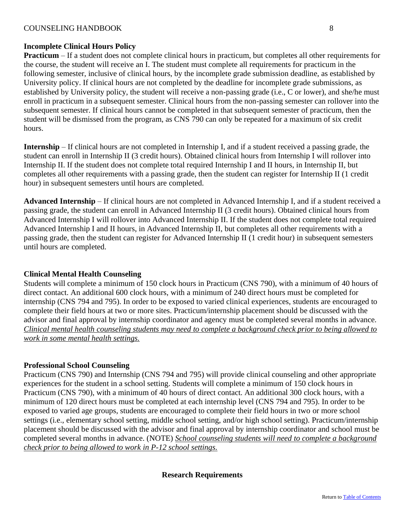# **Incomplete Clinical Hours Policy**

**Practicum** – If a student does not complete clinical hours in practicum, but completes all other requirements for the course, the student will receive an I. The student must complete all requirements for practicum in the following semester, inclusive of clinical hours, by the incomplete grade submission deadline, as established by University policy. If clinical hours are not completed by the deadline for incomplete grade submissions, as established by University policy, the student will receive a non-passing grade (i.e., C or lower), and she/he must enroll in practicum in a subsequent semester. Clinical hours from the non-passing semester can rollover into the subsequent semester. If clinical hours cannot be completed in that subsequent semester of practicum, then the student will be dismissed from the program, as CNS 790 can only be repeated for a maximum of six credit hours.

**Internship** – If clinical hours are not completed in Internship I, and if a student received a passing grade, the student can enroll in Internship II (3 credit hours). Obtained clinical hours from Internship I will rollover into Internship II. If the student does not complete total required Internship I and II hours, in Internship II, but completes all other requirements with a passing grade, then the student can register for Internship II (1 credit hour) in subsequent semesters until hours are completed.

**Advanced Internship** – If clinical hours are not completed in Advanced Internship I, and if a student received a passing grade, the student can enroll in Advanced Internship II (3 credit hours). Obtained clinical hours from Advanced Internship I will rollover into Advanced Internship II. If the student does not complete total required Advanced Internship I and II hours, in Advanced Internship II, but completes all other requirements with a passing grade, then the student can register for Advanced Internship II (1 credit hour) in subsequent semesters until hours are completed.

# **Clinical Mental Health Counseling**

Students will complete a minimum of 150 clock hours in Practicum (CNS 790), with a minimum of 40 hours of direct contact. An additional 600 clock hours, with a minimum of 240 direct hours must be completed for internship (CNS 794 and 795). In order to be exposed to varied clinical experiences, students are encouraged to complete their field hours at two or more sites. Practicum/internship placement should be discussed with the advisor and final approval by internship coordinator and agency must be completed several months in advance. *Clinical mental health counseling students may need to complete a background check prior to being allowed to work in some mental health settings.* 

# **Professional School Counseling**

<span id="page-10-0"></span>Practicum (CNS 790) and Internship (CNS 794 and 795) will provide clinical counseling and other appropriate experiences for the student in a school setting. Students will complete a minimum of 150 clock hours in Practicum (CNS 790), with a minimum of 40 hours of direct contact. An additional 300 clock hours, with a minimum of 120 direct hours must be completed at each internship level (CNS 794 and 795). In order to be exposed to varied age groups, students are encouraged to complete their field hours in two or more school settings (i.e., elementary school setting, middle school setting, and/or high school setting). Practicum/internship placement should be discussed with the advisor and final approval by internship coordinator and school must be completed several months in advance. (NOTE) *School counseling students will need to complete a background check prior to being allowed to work in P-12 school settings.*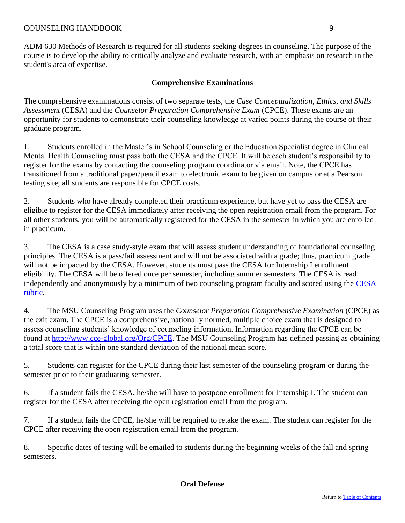<span id="page-11-0"></span>ADM 630 Methods of Research is required for all students seeking degrees in counseling. The purpose of the course is to develop the ability to critically analyze and evaluate research, with an emphasis on research in the student's area of expertise.

# **Comprehensive Examinations**

The comprehensive examinations consist of two separate tests, the *Case Conceptualization, Ethics, and Skills Assessment* (CESA) and the *Counselor Preparation Comprehensive Exam* (CPCE). These exams are an opportunity for students to demonstrate their counseling knowledge at varied points during the course of their graduate program.

1. Students enrolled in the Master's in School Counseling or the Education Specialist degree in Clinical Mental Health Counseling must pass both the CESA and the CPCE. It will be each student's responsibility to register for the exams by contacting the counseling program coordinator via email. Note, the CPCE has transitioned from a traditional paper/pencil exam to electronic exam to be given on campus or at a Pearson testing site; all students are responsible for CPCE costs.

2. Students who have already completed their practicum experience, but have yet to pass the CESA are eligible to register for the CESA immediately after receiving the open registration email from the program. For all other students, you will be automatically registered for the CESA in the semester in which you are enrolled in practicum.

3. The CESA is a case study-style exam that will assess student understanding of foundational counseling principles. The CESA is a pass/fail assessment and will not be associated with a grade; thus, practicum grade will not be impacted by the CESA. However, students must pass the CESA for Internship I enrollment eligibility. The CESA will be offered once per semester, including summer semesters. The CESA is read independently and anonymously by a minimum of two counseling program faculty and scored using the [CESA](#page-34-0)  [rubric.](#page-34-0)

4. The MSU Counseling Program uses the *Counselor Preparation Comprehensive Examination* (CPCE) as the exit exam. The CPCE is a comprehensive, nationally normed, multiple choice exam that is designed to assess counseling students' knowledge of counseling information. Information regarding the CPCE can be found at [http://www.cce-global.org/Org/CPCE.](http://www.cce-global.org/Org/CPCE) The MSU Counseling Program has defined passing as obtaining a total score that is within one standard deviation of the national mean score.

5. Students can register for the CPCE during their last semester of the counseling program or during the semester prior to their graduating semester.

6. If a student fails the CESA, he/she will have to postpone enrollment for Internship I. The student can register for the CESA after receiving the open registration email from the program.

7. If a student fails the CPCE, he/she will be required to retake the exam. The student can register for the CPCE after receiving the open registration email from the program.

<span id="page-11-1"></span>8. Specific dates of testing will be emailed to students during the beginning weeks of the fall and spring semesters.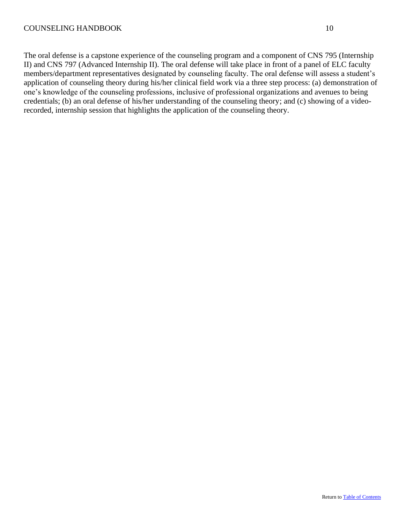The oral defense is a capstone experience of the counseling program and a component of CNS 795 (Internship II) and CNS 797 (Advanced Internship II). The oral defense will take place in front of a panel of ELC faculty members/department representatives designated by counseling faculty. The oral defense will assess a student's application of counseling theory during his/her clinical field work via a three step process: (a) demonstration of one's knowledge of the counseling professions, inclusive of professional organizations and avenues to being credentials; (b) an oral defense of his/her understanding of the counseling theory; and (c) showing of a videorecorded, internship session that highlights the application of the counseling theory.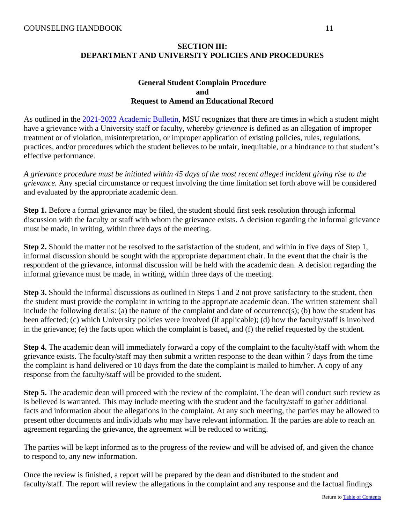# **SECTION III: DEPARTMENT AND UNIVERSITY POLICIES AND PROCEDURES**

## **General Student Complain Procedure and Request to Amend an Educational Record**

<span id="page-13-0"></span>As outlined in the 2021-2022 [Academic Bulletin,](https://murraystate.edu/academics/registrarsoffice/catalog.html#/home) MSU recognizes that there are times in which a student might have a grievance with a University staff or faculty, whereby *grievance* is defined as an allegation of improper treatment or of violation, misinterpretation, or improper application of existing policies, rules, regulations, practices, and/or procedures which the student believes to be unfair, inequitable, or a hindrance to that student's effective performance.

*A grievance procedure must be initiated within 45 days of the most recent alleged incident giving rise to the grievance.* Any special circumstance or request involving the time limitation set forth above will be considered and evaluated by the appropriate academic dean.

**Step 1.** Before a formal grievance may be filed, the student should first seek resolution through informal discussion with the faculty or staff with whom the grievance exists. A decision regarding the informal grievance must be made, in writing, within three days of the meeting.

**Step 2.** Should the matter not be resolved to the satisfaction of the student, and within in five days of Step 1, informal discussion should be sought with the appropriate department chair. In the event that the chair is the respondent of the grievance, informal discussion will be held with the academic dean. A decision regarding the informal grievance must be made, in writing, within three days of the meeting.

**Step 3.** Should the informal discussions as outlined in Steps 1 and 2 not prove satisfactory to the student, then the student must provide the complaint in writing to the appropriate academic dean. The written statement shall include the following details: (a) the nature of the complaint and date of occurrence(s); (b) how the student has been affected; (c) which University policies were involved (if applicable); (d) how the faculty/staff is involved in the grievance; (e) the facts upon which the complaint is based, and (f) the relief requested by the student.

**Step 4.** The academic dean will immediately forward a copy of the complaint to the faculty/staff with whom the grievance exists. The faculty/staff may then submit a written response to the dean within 7 days from the time the complaint is hand delivered or 10 days from the date the complaint is mailed to him/her. A copy of any response from the faculty/staff will be provided to the student.

**Step 5.** The academic dean will proceed with the review of the complaint. The dean will conduct such review as is believed is warranted. This may include meeting with the student and the faculty/staff to gather additional facts and information about the allegations in the complaint. At any such meeting, the parties may be allowed to present other documents and individuals who may have relevant information. If the parties are able to reach an agreement regarding the grievance, the agreement will be reduced to writing.

The parties will be kept informed as to the progress of the review and will be advised of, and given the chance to respond to, any new information.

Once the review is finished, a report will be prepared by the dean and distributed to the student and faculty/staff. The report will review the allegations in the complaint and any response and the factual findings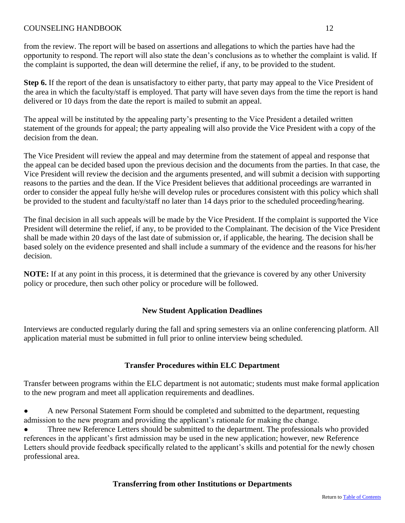from the review. The report will be based on assertions and allegations to which the parties have had the opportunity to respond. The report will also state the dean's conclusions as to whether the complaint is valid. If the complaint is supported, the dean will determine the relief, if any, to be provided to the student.

**Step 6.** If the report of the dean is unsatisfactory to either party, that party may appeal to the Vice President of the area in which the faculty/staff is employed. That party will have seven days from the time the report is hand delivered or 10 days from the date the report is mailed to submit an appeal.

The appeal will be instituted by the appealing party's presenting to the Vice President a detailed written statement of the grounds for appeal; the party appealing will also provide the Vice President with a copy of the decision from the dean.

The Vice President will review the appeal and may determine from the statement of appeal and response that the appeal can be decided based upon the previous decision and the documents from the parties. In that case, the Vice President will review the decision and the arguments presented, and will submit a decision with supporting reasons to the parties and the dean. If the Vice President believes that additional proceedings are warranted in order to consider the appeal fully he/she will develop rules or procedures consistent with this policy which shall be provided to the student and faculty/staff no later than 14 days prior to the scheduled proceeding/hearing.

The final decision in all such appeals will be made by the Vice President. If the complaint is supported the Vice President will determine the relief, if any, to be provided to the Complainant. The decision of the Vice President shall be made within 20 days of the last date of submission or, if applicable, the hearing. The decision shall be based solely on the evidence presented and shall include a summary of the evidence and the reasons for his/her decision.

<span id="page-14-0"></span>**NOTE:** If at any point in this process, it is determined that the grievance is covered by any other University policy or procedure, then such other policy or procedure will be followed.

# **New Student Application Deadlines**

<span id="page-14-1"></span>Interviews are conducted regularly during the fall and spring semesters via an online conferencing platform. All application material must be submitted in full prior to online interview being scheduled.

# **Transfer Procedures within ELC Department**

Transfer between programs within the ELC department is not automatic; students must make formal application to the new program and meet all application requirements and deadlines.

● A new Personal Statement Form should be completed and submitted to the department, requesting admission to the new program and providing the applicant's rationale for making the change.

<span id="page-14-2"></span>Three new Reference Letters should be submitted to the department. The professionals who provided references in the applicant's first admission may be used in the new application; however, new Reference Letters should provide feedback specifically related to the applicant's skills and potential for the newly chosen professional area.

# **Transferring from other Institutions or Departments**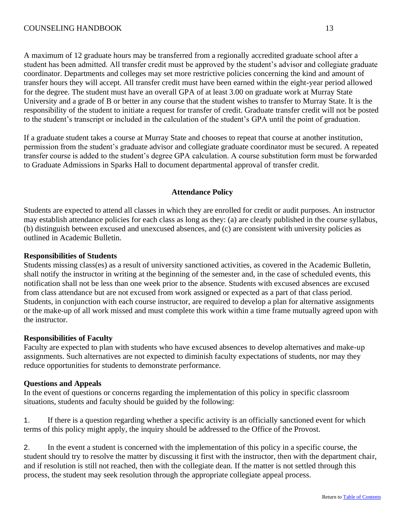A maximum of 12 graduate hours may be transferred from a regionally accredited graduate school after a student has been admitted. All transfer credit must be approved by the student's advisor and collegiate graduate coordinator. Departments and colleges may set more restrictive policies concerning the kind and amount of transfer hours they will accept. All transfer credit must have been earned within the eight-year period allowed for the degree. The student must have an overall GPA of at least 3.00 on graduate work at Murray State University and a grade of B or better in any course that the student wishes to transfer to Murray State. It is the responsibility of the student to initiate a request for transfer of credit. Graduate transfer credit will not be posted to the student's transcript or included in the calculation of the student's GPA until the point of graduation.

If a graduate student takes a course at Murray State and chooses to repeat that course at another institution, permission from the student's graduate advisor and collegiate graduate coordinator must be secured. A repeated transfer course is added to the student's degree GPA calculation. A course substitution form must be forwarded to Graduate Admissions in Sparks Hall to document departmental approval of transfer credit.

# **Attendance Policy**

<span id="page-15-0"></span>Students are expected to attend all classes in which they are enrolled for credit or audit purposes. An instructor may establish attendance policies for each class as long as they: (a) are clearly published in the course syllabus, (b) distinguish between excused and unexcused absences, and (c) are consistent with university policies as outlined in Academic Bulletin.

# **Responsibilities of Students**

Students missing class(es) as a result of university sanctioned activities, as covered in the Academic Bulletin, shall notify the instructor in writing at the beginning of the semester and, in the case of scheduled events, this notification shall not be less than one week prior to the absence. Students with excused absences are excused from class attendance but are not excused from work assigned or expected as a part of that class period. Students, in conjunction with each course instructor, are required to develop a plan for alternative assignments or the make-up of all work missed and must complete this work within a time frame mutually agreed upon with the instructor.

# **Responsibilities of Faculty**

Faculty are expected to plan with students who have excused absences to develop alternatives and make-up assignments. Such alternatives are not expected to diminish faculty expectations of students, nor may they reduce opportunities for students to demonstrate performance.

# **Questions and Appeals**

In the event of questions or concerns regarding the implementation of this policy in specific classroom situations, students and faculty should be guided by the following:

1. If there is a question regarding whether a specific activity is an officially sanctioned event for which terms of this policy might apply, the inquiry should be addressed to the Office of the Provost.

2. In the event a student is concerned with the implementation of this policy in a specific course, the student should try to resolve the matter by discussing it first with the instructor, then with the department chair, and if resolution is still not reached, then with the collegiate dean. If the matter is not settled through this process, the student may seek resolution through the appropriate collegiate appeal process.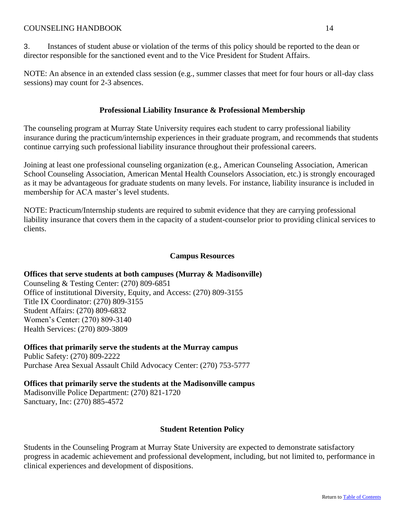<span id="page-16-0"></span>NOTE: An absence in an extended class session (e.g., summer classes that meet for four hours or all-day class sessions) may count for 2-3 absences.

# **Professional Liability Insurance & Professional Membership**

The counseling program at Murray State University requires each student to carry professional liability insurance during the practicum/internship experiences in their graduate program, and recommends that students continue carrying such professional liability insurance throughout their professional careers.

Joining at least one professional counseling organization (e.g., American Counseling Association, American School Counseling Association, American Mental Health Counselors Association, etc.) is strongly encouraged as it may be advantageous for graduate students on many levels. For instance, liability insurance is included in membership for ACA master's level students.

NOTE: Practicum/Internship students are required to submit evidence that they are carrying professional liability insurance that covers them in the capacity of a student-counselor prior to providing clinical services to clients.

# **Campus Resources**

# <span id="page-16-1"></span>**Offices that serve students at both campuses (Murray & Madisonville)**

Counseling & Testing Center: (270) 809-6851 Office of institutional Diversity, Equity, and Access: (270) 809-3155 Title IX Coordinator: (270) 809-3155 Student Affairs: (270) 809-6832 Women's Center: (270) 809-3140 Health Services: (270) 809-3809

**Offices that primarily serve the students at the Murray campus** Public Safety: (270) 809-2222 Purchase Area Sexual Assault Child Advocacy Center: (270) 753-5777

**Offices that primarily serve the students at the Madisonville campus** Madisonville Police Department: (270) 821-1720 Sanctuary, Inc: (270) 885-4572

# **Student Retention Policy**

<span id="page-16-2"></span>Students in the Counseling Program at Murray State University are expected to demonstrate satisfactory progress in academic achievement and professional development, including, but not limited to, performance in clinical experiences and development of dispositions.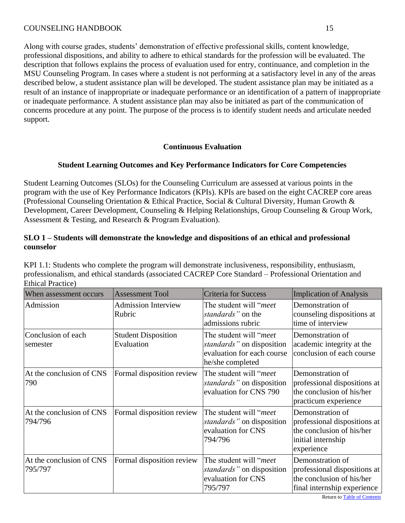Along with course grades, students' demonstration of effective professional skills, content knowledge, professional dispositions, and ability to adhere to ethical standards for the profession will be evaluated. The description that follows explains the process of evaluation used for entry, continuance, and completion in the MSU Counseling Program. In cases where a student is not performing at a satisfactory level in any of the areas described below, a student assistance plan will be developed. The student assistance plan may be initiated as a result of an instance of inappropriate or inadequate performance or an identification of a pattern of inappropriate or inadequate performance. A student assistance plan may also be initiated as part of the communication of concerns procedure at any point. The purpose of the process is to identify student needs and articulate needed support.

# **Continuous Evaluation**

# <span id="page-17-0"></span>**Student Learning Outcomes and Key Performance Indicators for Core Competencies**

<span id="page-17-1"></span>Student Learning Outcomes (SLOs) for the Counseling Curriculum are assessed at various points in the program with the use of Key Performance Indicators (KPIs). KPIs are based on the eight CACREP core areas (Professional Counseling Orientation & Ethical Practice, Social & Cultural Diversity, Human Growth & Development, Career Development, Counseling & Helping Relationships, Group Counseling & Group Work, Assessment & Testing, and Research & Program Evaluation).

# **SLO 1 – Students will demonstrate the knowledge and dispositions of an ethical and professional counselor**

| When assessment occurs              | <b>Assessment Tool</b>                   | <b>Criteria for Success</b>                                                                                    | <b>Implication of Analysis</b>                                                                                    |
|-------------------------------------|------------------------------------------|----------------------------------------------------------------------------------------------------------------|-------------------------------------------------------------------------------------------------------------------|
| Admission                           | <b>Admission Interview</b><br>Rubric     | The student will " <i>meet</i> "<br>standards" on the<br>admissions rubric                                     | Demonstration of<br>counseling dispositions at<br>time of interview                                               |
| Conclusion of each<br>semester      | <b>Student Disposition</b><br>Evaluation | The student will "meet"<br><i>standards</i> " on disposition<br>evaluation for each course<br>he/she completed | Demonstration of<br>academic integrity at the<br>conclusion of each course                                        |
| At the conclusion of CNS<br>790     | Formal disposition review                | The student will "meet"<br><i>standards</i> " on disposition<br>evaluation for CNS 790                         | Demonstration of<br>professional dispositions at<br>the conclusion of his/her<br>practicum experience             |
| At the conclusion of CNS<br>794/796 | Formal disposition review                | The student will "meet"<br><i>standards</i> " on disposition<br>evaluation for CNS<br>794/796                  | Demonstration of<br>professional dispositions at<br>the conclusion of his/her<br>initial internship<br>experience |
| At the conclusion of CNS<br>795/797 | Formal disposition review                | The student will "meet"<br><i>standards</i> " on disposition<br>evaluation for CNS<br>795/797                  | Demonstration of<br>professional dispositions at<br>the conclusion of his/her<br>final internship experience      |

KPI 1.1: Students who complete the program will demonstrate inclusiveness, responsibility, enthusiasm, professionalism, and ethical standards (associated CACREP Core Standard – Professional Orientation and Ethical Practice)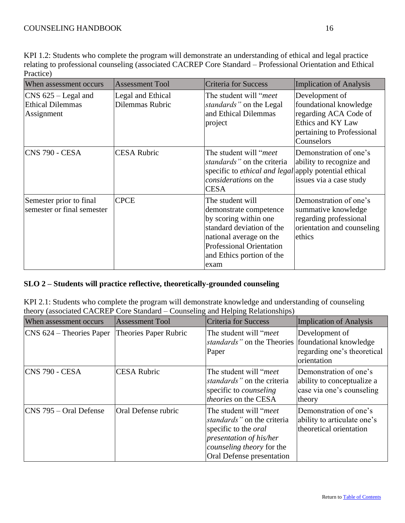| When assessment occurs                                         | <b>Assessment Tool</b>               | <b>Criteria for Success</b>                                                                                                                                                                         | Implication of Analysis                                                                                                            |
|----------------------------------------------------------------|--------------------------------------|-----------------------------------------------------------------------------------------------------------------------------------------------------------------------------------------------------|------------------------------------------------------------------------------------------------------------------------------------|
| $CNS$ 625 – Legal and<br><b>Ethical Dilemmas</b><br>Assignment | Legal and Ethical<br>Dilemmas Rubric | The student will " <i>meet</i> "<br><i>standards</i> " on the Legal<br>and Ethical Dilemmas<br>project                                                                                              | Development of<br>foundational knowledge<br>regarding ACA Code of<br>Ethics and KY Law<br>pertaining to Professional<br>Counselors |
| <b>CNS 790 - CESA</b>                                          | <b>CESA Rubric</b>                   | The student will " <i>meet</i> "<br>standards" on the criteria<br>specific to <i>ethical and legal</i> apply potential ethical<br>considerations on the<br><b>CESA</b>                              | Demonstration of one's<br>ability to recognize and<br>issues via a case study                                                      |
| Semester prior to final<br>semester or final semester          | <b>CPCE</b>                          | The student will<br>demonstrate competence<br>by scoring within one<br>standard deviation of the<br>national average on the<br><b>Professional Orientation</b><br>and Ethics portion of the<br>exam | Demonstration of one's<br>summative knowledge<br>regarding professional<br>orientation and counseling<br>ethics                    |

# **SLO 2 – Students will practice reflective, theoretically-grounded counseling**

KPI 2.1: Students who complete the program will demonstrate knowledge and understanding of counseling theory (associated CACREP Core Standard – Counseling and Helping Relationships)

| When assessment occurs            | <b>Assessment Tool</b>       | <b>Criteria for Success</b>                                                                                                                                                               | <b>Implication of Analysis</b>                                                              |
|-----------------------------------|------------------------------|-------------------------------------------------------------------------------------------------------------------------------------------------------------------------------------------|---------------------------------------------------------------------------------------------|
| $\vert$ CNS 624 – Theories Paper  | <b>Theories Paper Rubric</b> | The student will " <i>meet</i> "<br>standards" on the Theories [foundational knowledge]<br>Paper                                                                                          | Development of<br>regarding one's theoretical<br>orientation                                |
| CNS 790 - CESA                    | <b>CESA Rubric</b>           | The student will " <i>meet</i> "<br>standards" on the criteria<br>specific to <i>counseling</i><br><i>theories</i> on the CESA                                                            | Demonstration of one's<br>ability to conceptualize a<br>case via one's counseling<br>theory |
| $\textsf{CNN}$ 795 – Oral Defense | Oral Defense rubric          | The student will " <i>meet</i> "<br>standards" on the criteria<br>specific to the <i>oral</i><br><i>presentation of his/her</i><br>counseling theory for the<br>Oral Defense presentation | Demonstration of one's<br>ability to articulate one's<br>theoretical orientation            |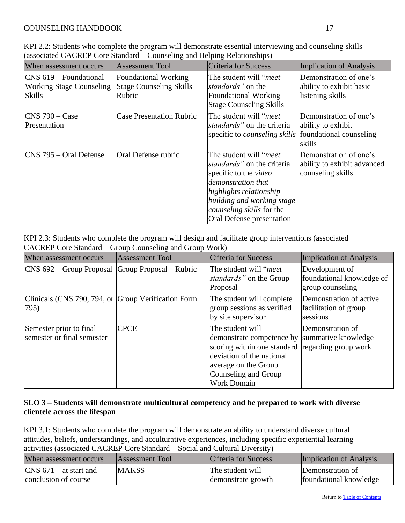| When assessment occurs                                                             | <b>Assessment Tool</b>                                                  | Criteria for Success                                                                                                                                                                                                                            | Implication of Analysis                                                           |
|------------------------------------------------------------------------------------|-------------------------------------------------------------------------|-------------------------------------------------------------------------------------------------------------------------------------------------------------------------------------------------------------------------------------------------|-----------------------------------------------------------------------------------|
| $\vert$ CNS 619 – Foundational<br><b>Working Stage Counseling</b><br><b>Skills</b> | <b>Foundational Working</b><br><b>Stage Counseling Skills</b><br>Rubric | The student will " <i>meet</i> "<br>standards" on the<br><b>Foundational Working</b><br><b>Stage Counseling Skills</b>                                                                                                                          | Demonstration of one's<br>ability to exhibit basic<br>listening skills            |
| $CNS$ 790 – Case<br>Presentation                                                   | <b>Case Presentation Rubric</b>                                         | The student will " <i>meet</i> "<br>standards" on the criteria<br>specific to <i>counseling skills</i>                                                                                                                                          | Demonstration of one's<br>ability to exhibit<br>foundational counseling<br>skills |
| $\textsf{CNS}$ 795 – Oral Defense                                                  | Oral Defense rubric                                                     | The student will " <i>meet</i> "<br><i>standards</i> " on the criteria<br>specific to the <i>video</i><br>demonstration that<br>highlights relationship<br>building and working stage<br>counseling skills for the<br>Oral Defense presentation | Demonstration of one's<br>ability to exhibit advanced<br>counseling skills        |

# KPI 2.3: Students who complete the program will design and facilitate group interventions (associated CACREP Core Standard – Group Counseling and Group Work)

| When assessment occurs                                      | <b>Assessment Tool</b> | Criteria for Success                                                                                                                                                                                                     | Implication of Analysis                                         |
|-------------------------------------------------------------|------------------------|--------------------------------------------------------------------------------------------------------------------------------------------------------------------------------------------------------------------------|-----------------------------------------------------------------|
| CNS 692 – Group Proposal Group Proposal                     | Rubric                 | The student will " <i>meet</i> "<br><i>standards</i> " on the Group<br>Proposal                                                                                                                                          | Development of<br>foundational knowledge of<br>group counseling |
| Clinicals (CNS 790, 794, or Group Verification Form<br>795) |                        | The student will complete<br>group sessions as verified<br>by site supervisor                                                                                                                                            | Demonstration of active<br>facilitation of group<br>sessions    |
| Semester prior to final<br>semester or final semester       | <b>CPCE</b>            | The student will<br>demonstrate competence by summative knowledge<br>scoring within one standard regarding group work<br>deviation of the national<br>average on the Group<br>Counseling and Group<br><b>Work Domain</b> | Demonstration of                                                |

# **SLO 3 – Students will demonstrate multicultural competency and be prepared to work with diverse clientele across the lifespan**

KPI 3.1: Students who complete the program will demonstrate an ability to understand diverse cultural attitudes, beliefs, understandings, and acculturative experiences, including specific experiential learning activities (associated CACREP Core Standard – Social and Cultural Diversity)

| When assessment occurs   | Assessment Tool | Criteria for Success | <b>Implication of Analysis</b> |
|--------------------------|-----------------|----------------------|--------------------------------|
| $CNS$ 671 – at start and | <b>MAKSS</b>    | The student will     | Demonstration of               |
| conclusion of course     |                 | demonstrate growth   | foundational knowledge         |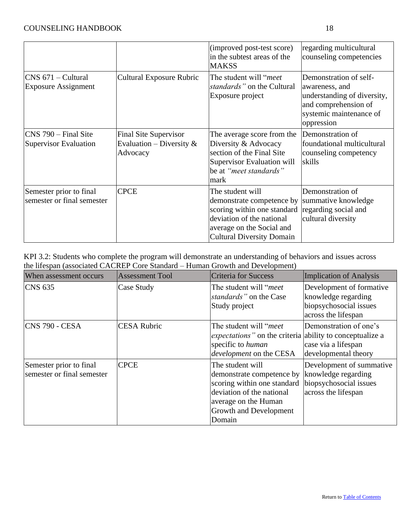|                                                                  |                                                                         | (improved post-test score)<br>in the subtest areas of the<br><b>MAKSS</b>                                                                                                  | regarding multicultural<br>counseling competencies                                                                                       |
|------------------------------------------------------------------|-------------------------------------------------------------------------|----------------------------------------------------------------------------------------------------------------------------------------------------------------------------|------------------------------------------------------------------------------------------------------------------------------------------|
| $CNS$ 671 – Cultural<br><b>Exposure Assignment</b>               | <b>Cultural Exposure Rubric</b>                                         | The student will " <i>meet</i> "<br>standards" on the Cultural<br>Exposure project                                                                                         | Demonstration of self-<br>awareness, and<br>understanding of diversity,<br>and comprehension of<br>systemic maintenance of<br>oppression |
| $\textsf{ICNS}$ 790 – Final Site<br><b>Supervisor Evaluation</b> | <b>Final Site Supervisor</b><br>Evaluation – Diversity $\&$<br>Advocacy | The average score from the<br>Diversity & Advocacy<br>section of the Final Site<br>Supervisor Evaluation will<br>be at "meet standards"<br>mark                            | Demonstration of<br>foundational multicultural<br>counseling competency<br>skills                                                        |
| Semester prior to final<br>semester or final semester            | <b>CPCE</b>                                                             | The student will<br>demonstrate competence by<br>scoring within one standard<br>deviation of the national<br>average on the Social and<br><b>Cultural Diversity Domain</b> | Demonstration of<br>summative knowledge<br>regarding social and<br>cultural diversity                                                    |

KPI 3.2: Students who complete the program will demonstrate an understanding of behaviors and issues across the lifespan (associated CACREP Core Standard – Human Growth and Development)

| When assessment occurs                                | <b>Assessment Tool</b> | Criteria for Success                                                                                                                                                         | Implication of Analysis                                                                          |
|-------------------------------------------------------|------------------------|------------------------------------------------------------------------------------------------------------------------------------------------------------------------------|--------------------------------------------------------------------------------------------------|
| <b>CNS 635</b>                                        | Case Study             | The student will " <i>meet</i> "<br>standards" on the Case<br>Study project                                                                                                  | Development of formative<br>knowledge regarding<br>biopsychosocial issues<br>across the lifespan |
| <b>CNS 790 - CESA</b>                                 | <b>CESA Rubric</b>     | The student will " <i>meet</i> "<br><i>expectations</i> " on the criteria ability to conceptualize a<br>specific to human<br>development on the CESA                         | Demonstration of one's<br>case via a lifespan<br>developmental theory                            |
| Semester prior to final<br>semester or final semester | <b>CPCE</b>            | The student will<br>demonstrate competence by<br>scoring within one standard<br>deviation of the national<br>average on the Human<br><b>Growth and Development</b><br>Domain | Development of summative<br>knowledge regarding<br>biopsychosocial issues<br>across the lifespan |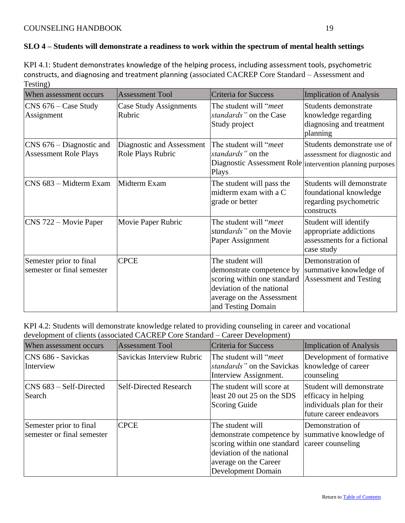# **SLO 4 – Students will demonstrate a readiness to work within the spectrum of mental health settings**

KPI 4.1: Student demonstrates knowledge of the helping process, including assessment tools, psychometric constructs, and diagnosing and treatment planning (associated CACREP Core Standard – Assessment and Testing)

| When assessment occurs                                     | <b>Assessment Tool</b>                         | Criteria for Success                                                                                                                                         | <b>Implication of Analysis</b>                                                                                            |
|------------------------------------------------------------|------------------------------------------------|--------------------------------------------------------------------------------------------------------------------------------------------------------------|---------------------------------------------------------------------------------------------------------------------------|
| CNS 676 – Case Study<br>Assignment                         | Case Study Assignments<br>Rubric               | The student will " <i>meet</i> "<br>standards" on the Case<br>Study project                                                                                  | Students demonstrate<br>knowledge regarding<br>diagnosing and treatment<br>planning                                       |
| $CNS$ 676 – Diagnostic and<br><b>Assessment Role Plays</b> | Diagnostic and Assessment<br>Role Plays Rubric | The student will " <i>meet</i> "<br>standards" on the<br>Plays                                                                                               | Students demonstrate use of<br>assessment for diagnostic and<br>Diagnostic Assessment Role intervention planning purposes |
| CNS 683 – Midterm Exam                                     | Midterm Exam                                   | The student will pass the<br>midterm exam with a C<br>grade or better                                                                                        | Students will demonstrate<br>foundational knowledge<br>regarding psychometric<br>constructs                               |
| CNS 722 – Movie Paper                                      | Movie Paper Rubric                             | The student will " <i>meet</i><br>standards" on the Movie<br>Paper Assignment                                                                                | Student will identify<br>appropriate addictions<br>assessments for a fictional<br>case study                              |
| Semester prior to final<br>semester or final semester      | <b>CPCE</b>                                    | The student will<br>demonstrate competence by<br>scoring within one standard<br>deviation of the national<br>average on the Assessment<br>and Testing Domain | Demonstration of<br>summative knowledge of<br><b>Assessment and Testing</b>                                               |

KPI 4.2: Students will demonstrate knowledge related to providing counseling in career and vocational development of clients (associated CACREP Core Standard – Career Development)

| When assessment occurs                                | <b>Assessment Tool</b>        | Criteria for Success                                                                                                                                            | Implication of Analysis                                                                                  |
|-------------------------------------------------------|-------------------------------|-----------------------------------------------------------------------------------------------------------------------------------------------------------------|----------------------------------------------------------------------------------------------------------|
| CNS 686 - Savickas<br>Interview                       | Savickas Interview Rubric     | The student will "meet"<br>standards" on the Savickas<br>Interview Assignment.                                                                                  | Development of formative<br>knowledge of career<br>counseling                                            |
| $\vert$ CNS 683 – Self-Directed<br>Search             | <b>Self-Directed Research</b> | The student will score at<br>least 20 out 25 on the SDS<br><b>Scoring Guide</b>                                                                                 | Student will demonstrate<br>efficacy in helping<br>individuals plan for their<br>future career endeavors |
| Semester prior to final<br>semester or final semester | <b>CPCE</b>                   | The student will<br>demonstrate competence by<br>scoring within one standard<br>deviation of the national<br>average on the Career<br><b>Development Domain</b> | Demonstration of<br>summative knowledge of<br>career counseling                                          |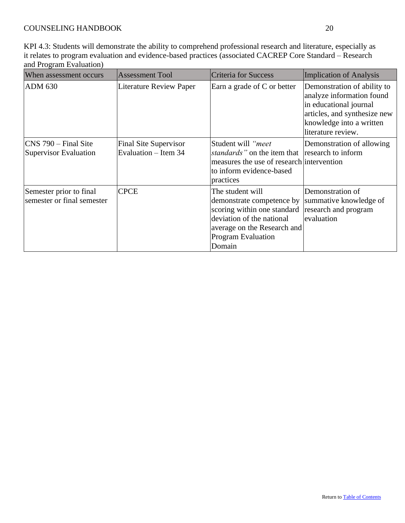KPI 4.3: Students will demonstrate the ability to comprehend professional research and literature, especially as it relates to program evaluation and evidence-based practices (associated CACREP Core Standard – Research and Program Evaluation)

<span id="page-22-0"></span>

| When assessment occurs                                   | <b>Assessment Tool</b>                        | <b>Criteria for Success</b>                                                                                                                                                                                                 | Implication of Analysis                                                                                                                                              |
|----------------------------------------------------------|-----------------------------------------------|-----------------------------------------------------------------------------------------------------------------------------------------------------------------------------------------------------------------------------|----------------------------------------------------------------------------------------------------------------------------------------------------------------------|
| <b>ADM 630</b>                                           | <b>Literature Review Paper</b>                | Earn a grade of C or better                                                                                                                                                                                                 | Demonstration of ability to<br>analyze information found<br>in educational journal<br>articles, and synthesize new<br>knowledge into a written<br>literature review. |
| $\textsf{CNS}$ 790 – Final Site<br>Supervisor Evaluation | Final Site Supervisor<br>Evaluation – Item 34 | Student will "meet<br><i>standards</i> " on the item that research to inform<br>measures the use of research intervention<br>to inform evidence-based<br>practices                                                          | Demonstration of allowing                                                                                                                                            |
| Semester prior to final<br>semester or final semester    | <b>CPCE</b>                                   | The student will<br>demonstrate competence by summative knowledge of<br>scoring within one standard research and program<br>deviation of the national<br>average on the Research and<br><b>Program Evaluation</b><br>Domain | Demonstration of<br>evaluation                                                                                                                                       |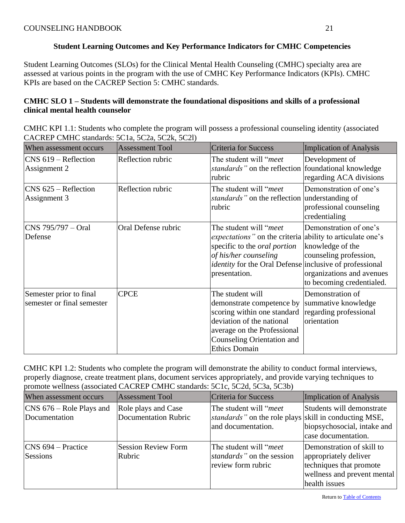# **Student Learning Outcomes and Key Performance Indicators for CMHC Competencies**

Student Learning Outcomes (SLOs) for the Clinical Mental Health Counseling (CMHC) specialty area are assessed at various points in the program with the use of CMHC Key Performance Indicators (KPIs). CMHC KPIs are based on the CACREP Section 5: CMHC standards.

# **CMHC SLO 1 – Students will demonstrate the foundational dispositions and skills of a professional clinical mental health counselor**

CMHC KPI 1.1: Students who complete the program will possess a professional counseling identity (associated CACREP CMHC standards: 5C1a, 5C2a, 5C2k, 5C2l)

| When assessment occurs                                | <b>Assessment Tool</b> | <b>Criteria for Success</b>                                                                                                                                                                                                                              | <b>Implication of Analysis</b>                                                                                                 |
|-------------------------------------------------------|------------------------|----------------------------------------------------------------------------------------------------------------------------------------------------------------------------------------------------------------------------------------------------------|--------------------------------------------------------------------------------------------------------------------------------|
| $CNS$ 619 – Reflection<br>Assignment 2                | Reflection rubric      | The student will "meet"<br><i>standards</i> " on the reflection foundational knowledge<br>rubric                                                                                                                                                         | Development of<br>regarding ACA divisions                                                                                      |
| $CNS$ 625 – Reflection<br>Assignment 3                | Reflection rubric      | The student will " <i>meet</i> "<br>standards" on the reflection understanding of<br>rubric                                                                                                                                                              | Demonstration of one's<br>professional counseling<br>credentialing                                                             |
| CNS 795/797 – Oral<br>Defense                         | Oral Defense rubric    | The student will " <i>meet</i> "<br><i>expectations</i> " on the criteria ability to articulate one's<br>specific to the <i>oral portion</i><br>of his/her counseling<br><i>identity</i> for the Oral Defense inclusive of professional<br>presentation. | Demonstration of one's<br>knowledge of the<br>counseling profession,<br>organizations and avenues<br>to becoming credentialed. |
| Semester prior to final<br>semester or final semester | <b>CPCE</b>            | The student will<br>demonstrate competence by<br>scoring within one standard<br>deviation of the national<br>average on the Professional<br>Counseling Orientation and<br><b>Ethics Domain</b>                                                           | Demonstration of<br>summative knowledge<br>regarding professional<br>orientation                                               |

CMHC KPI 1.2: Students who complete the program will demonstrate the ability to conduct formal interviews, properly diagnose, create treatment plans, document services appropriately, and provide varying techniques to promote wellness (associated CACREP CMHC standards: 5C1c, 5C2d, 5C3a, 5C3b)

| When assessment occurs                            | <b>Assessment Tool</b>                             | <b>Criteria for Success</b>                                                                                             | Implication of Analysis                                                                                                       |
|---------------------------------------------------|----------------------------------------------------|-------------------------------------------------------------------------------------------------------------------------|-------------------------------------------------------------------------------------------------------------------------------|
| $\vert$ CNS 676 – Role Plays and<br>Documentation | Role plays and Case<br><b>Documentation Rubric</b> | The student will " <i>meet</i> "<br><i>standards</i> " on the role plays skill in conducting MSE,<br>and documentation. | Students will demonstrate<br>biopsychosocial, intake and<br>case documentation.                                               |
| $\textsf{CNN}$ 694 – Practice<br>Sessions         | <b>Session Review Form</b><br>Rubric               | The student will " <i>meet</i> "<br>standards" on the session<br>review form rubric                                     | Demonstration of skill to<br>appropriately deliver<br>techniques that promote<br>wellness and prevent mental<br>health issues |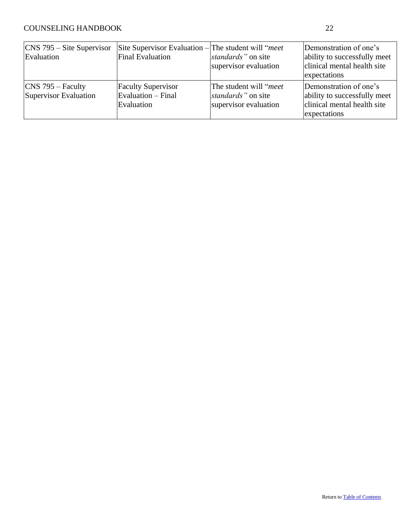<span id="page-24-0"></span>

| $\cos$ 795 – Site Supervisor<br>Evaluation    | Site Supervisor Evaluation – The student will " <i>meet</i> "<br>Final Evaluation | standards" on site<br>supervisor evaluation                                     | Demonstration of one's<br>ability to successfully meet<br>clinical mental health site<br>expectations |
|-----------------------------------------------|-----------------------------------------------------------------------------------|---------------------------------------------------------------------------------|-------------------------------------------------------------------------------------------------------|
| $\cos$ 795 – Faculty<br>Supervisor Evaluation | <b>Faculty Supervisor</b><br>$Exulation - Final$<br>Evaluation                    | The student will " <i>meet</i> "<br>standards" on site<br>supervisor evaluation | Demonstration of one's<br>ability to successfully meet<br>clinical mental health site<br>expectations |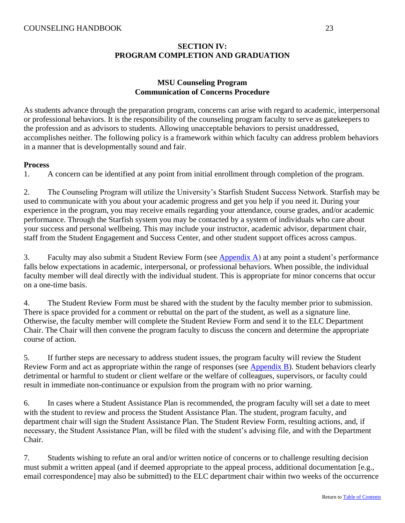# **SECTION IV: PROGRAM COMPLETION AND GRADUATION**

# **MSU Counseling Program Communication of Concerns Procedure**

<span id="page-25-1"></span><span id="page-25-0"></span>As students advance through the preparation program, concerns can arise with regard to academic, interpersonal or professional behaviors. It is the responsibility of the counseling program faculty to serve as gatekeepers to the profession and as advisors to students. Allowing unacceptable behaviors to persist unaddressed, accomplishes neither. The following policy is a framework within which faculty can address problem behaviors in a manner that is developmentally sound and fair.

#### **Process**

1. A concern can be identified at any point from initial enrollment through completion of the program.

2. The Counseling Program will utilize the University's Starfish Student Success Network. Starfish may be used to communicate with you about your academic progress and get you help if you need it. During your experience in the program, you may receive emails regarding your attendance, course grades, and/or academic performance. Through the Starfish system you may be contacted by a system of individuals who care about your success and personal wellbeing. This may include your instructor, academic advisor, department chair, staff from the Student Engagement and Success Center, and other student support offices across campus.

3. Faculty may also submit a Student Review Form (see [Appendix A\)](#page-31-1) at any point a student's performance falls below expectations in academic, interpersonal, or professional behaviors. When possible, the individual faculty member will deal directly with the individual student. This is appropriate for minor concerns that occur on a one-time basis.

4. The Student Review Form must be shared with the student by the faculty member prior to submission. There is space provided for a comment or rebuttal on the part of the student, as well as a signature line. Otherwise, the faculty member will complete the Student Review Form and send it to the ELC Department Chair. The Chair will then convene the program faculty to discuss the concern and determine the appropriate course of action.

5. If further steps are necessary to address student issues, the program faculty will review the Student Review Form and act as appropriate within the range of responses (see [Appendix B\)](#page-33-0). Student behaviors clearly detrimental or harmful to student or client welfare or the welfare of colleagues, supervisors, or faculty could result in immediate non-continuance or expulsion from the program with no prior warning.

6. In cases where a Student Assistance Plan is recommended, the program faculty will set a date to meet with the student to review and process the Student Assistance Plan. The student, program faculty, and department chair will sign the Student Assistance Plan. The Student Review Form, resulting actions, and, if necessary, the Student Assistance Plan, will be filed with the student's advising file, and with the Department Chair.

7. Students wishing to refute an oral and/or written notice of concerns or to challenge resulting decision must submit a written appeal (and if deemed appropriate to the appeal process, additional documentation [e.g., email correspondence] may also be submitted) to the ELC department chair within two weeks of the occurrence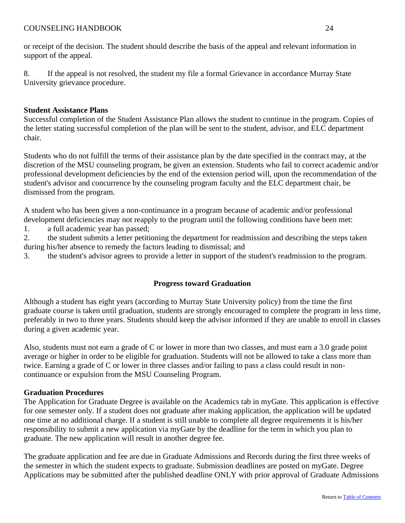8. If the appeal is not resolved, the student my file a formal Grievance in accordance Murray State University grievance procedure.

# **Student Assistance Plans**

Successful completion of the Student Assistance Plan allows the student to continue in the program. Copies of the letter stating successful completion of the plan will be sent to the student, advisor, and ELC department chair.

Students who do not fulfill the terms of their assistance plan by the date specified in the contract may, at the discretion of the MSU counseling program, be given an extension. Students who fail to correct academic and/or professional development deficiencies by the end of the extension period will, upon the recommendation of the student's advisor and concurrence by the counseling program faculty and the ELC department chair, be dismissed from the program.

A student who has been given a non-continuance in a program because of academic and/or professional development deficiencies may not reapply to the program until the following conditions have been met:

1. a full academic year has passed;

2. the student submits a letter petitioning the department for readmission and describing the steps taken during his/her absence to remedy the factors leading to dismissal; and

<span id="page-26-0"></span>3. the student's advisor agrees to provide a letter in support of the student's readmission to the program.

# **Progress toward Graduation**

Although a student has eight years (according to Murray State University policy) from the time the first graduate course is taken until graduation, students are strongly encouraged to complete the program in less time, preferably in two to three years. Students should keep the advisor informed if they are unable to enroll in classes during a given academic year.

Also, students must not earn a grade of C or lower in more than two classes, and must earn a 3.0 grade point average or higher in order to be eligible for graduation. Students will not be allowed to take a class more than twice. Earning a grade of C or lower in three classes and/or failing to pass a class could result in noncontinuance or expulsion from the MSU Counseling Program.

# **Graduation Procedures**

The Application for Graduate Degree is available on the Academics tab in myGate. This application is effective for one semester only. If a student does not graduate after making application, the application will be updated one time at no additional charge. If a student is still unable to complete all degree requirements it is his/her responsibility to submit a new application via myGate by the deadline for the term in which you plan to graduate. The new application will result in another degree fee.

The graduate application and fee are due in Graduate Admissions and Records during the first three weeks of the semester in which the student expects to graduate. Submission deadlines are posted on myGate. Degree Applications may be submitted after the published deadline ONLY with prior approval of Graduate Admissions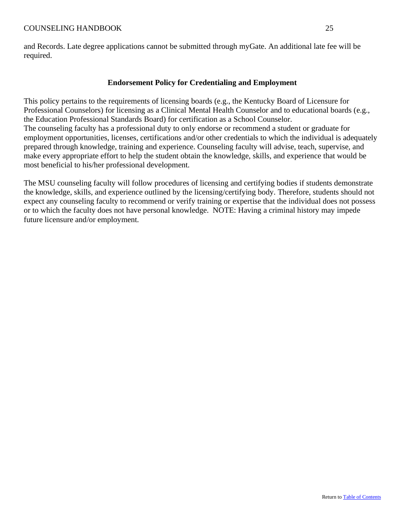<span id="page-27-0"></span>and Records. Late degree applications cannot be submitted through myGate. An additional late fee will be required.

## **Endorsement Policy for Credentialing and Employment**

This policy pertains to the requirements of licensing boards (e.g., the Kentucky Board of Licensure for Professional Counselors) for licensing as a Clinical Mental Health Counselor and to educational boards (e.g., the Education Professional Standards Board) for certification as a School Counselor. The counseling faculty has a professional duty to only endorse or recommend a student or graduate for employment opportunities, licenses, certifications and/or other credentials to which the individual is adequately prepared through knowledge, training and experience. Counseling faculty will advise, teach, supervise, and make every appropriate effort to help the student obtain the knowledge, skills, and experience that would be most beneficial to his/her professional development.

<span id="page-27-1"></span>The MSU counseling faculty will follow procedures of licensing and certifying bodies if students demonstrate the knowledge, skills, and experience outlined by the licensing/certifying body. Therefore, students should not expect any counseling faculty to recommend or verify training or expertise that the individual does not possess or to which the faculty does not have personal knowledge. NOTE: Having a criminal history may impede future licensure and/or employment.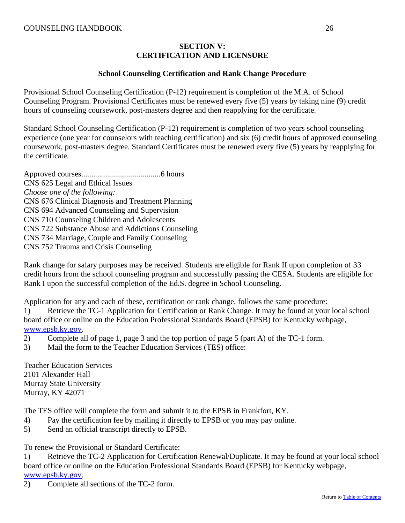# **SECTION V: CERTIFICATION AND LICENSURE**

#### **School Counseling Certification and Rank Change Procedure**

<span id="page-28-0"></span>Provisional School Counseling Certification (P-12) requirement is completion of the M.A. of School Counseling Program. Provisional Certificates must be renewed every five (5) years by taking nine (9) credit hours of counseling coursework, post-masters degree and then reapplying for the certificate.

Standard School Counseling Certification (P-12) requirement is completion of two years school counseling experience (one year for counselors with teaching certification) and six (6) credit hours of approved counseling coursework, post-masters degree. Standard Certificates must be renewed every five (5) years by reapplying for the certificate.

Approved courses........................................6 hours CNS 625 Legal and Ethical Issues *Choose one of the following:*  CNS 676 Clinical Diagnosis and Treatment Planning CNS 694 Advanced Counseling and Supervision CNS 710 Counseling Children and Adolescents CNS 722 Substance Abuse and Addictions Counseling CNS 734 Marriage, Couple and Family Counseling CNS 752 Trauma and Crisis Counseling

Rank change for salary purposes may be received. Students are eligible for Rank II upon completion of 33 credit hours from the school counseling program and successfully passing the CESA. Students are eligible for Rank I upon the successful completion of the Ed.S. degree in School Counseling.

Application for any and each of these, certification or rank change, follows the same procedure:

1) Retrieve the TC-1 Application for Certification or Rank Change. It may be found at your local school board office or online on the Education Professional Standards Board (EPSB) for Kentucky webpage, [www.epsb.ky.gov.](http://www.epsb.ky.gov/)

- 2) Complete all of page 1, page 3 and the top portion of page 5 (part A) of the TC-1 form.
- 3) Mail the form to the Teacher Education Services (TES) office:

Teacher Education Services 2101 Alexander Hall Murray State University Murray, KY 42071

The TES office will complete the form and submit it to the EPSB in Frankfort, KY.

- 4) Pay the certification fee by mailing it directly to EPSB or you may pay online.
- 5) Send an official transcript directly to EPSB.

To renew the Provisional or Standard Certificate:

1) Retrieve the TC-2 Application for Certification Renewal/Duplicate. It may be found at your local school board office or online on the Education Professional Standards Board (EPSB) for Kentucky webpage, [www.epsb.ky.gov.](http://www.epsb.ky.gov/)

2) Complete all sections of the TC-2 form.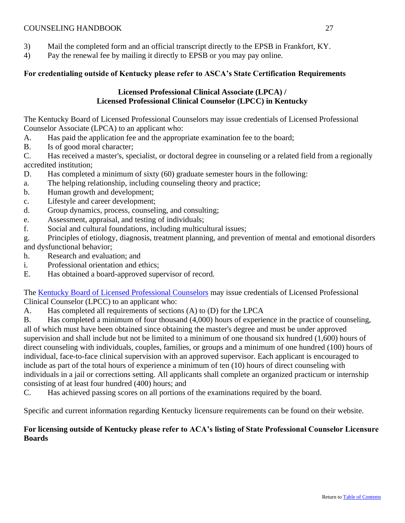- 3) Mail the completed form and an official transcript directly to the EPSB in Frankfort, KY.
- 4) Pay the renewal fee by mailing it directly to EPSB or you may pay online.

# <span id="page-29-0"></span>**For credentialing outside of Kentucky please refer to ASCA's State Certification Requirements**

# **Licensed Professional Clinical Associate (LPCA) / Licensed Professional Clinical Counselor (LPCC) in Kentucky**

The Kentucky Board of Licensed Professional Counselors may issue credentials of Licensed Professional Counselor Associate (LPCA) to an applicant who:

- A. Has paid the application fee and the appropriate examination fee to the board;
- B. Is of good moral character;

C. Has received a master's, specialist, or doctoral degree in counseling or a related field from a regionally accredited institution;

- D. Has completed a minimum of sixty (60) graduate semester hours in the following:
- a. The helping relationship, including counseling theory and practice;
- b. Human growth and development;
- c. Lifestyle and career development;
- d. Group dynamics, process, counseling, and consulting;
- e. Assessment, appraisal, and testing of individuals;
- f. Social and cultural foundations, including multicultural issues;

g. Principles of etiology, diagnosis, treatment planning, and prevention of mental and emotional disorders and dysfunctional behavior;

h. Research and evaluation; and

- i. Professional orientation and ethics;
- E. Has obtained a board-approved supervisor of record.

The [Kentucky Board of Licensed Professional Counselors](http://lpc.ky.gov/) may issue credentials of Licensed Professional Clinical Counselor (LPCC) to an applicant who:

A. Has completed all requirements of sections (A) to (D) for the LPCA

B. Has completed a minimum of four thousand (4,000) hours of experience in the practice of counseling, all of which must have been obtained since obtaining the master's degree and must be under approved supervision and shall include but not be limited to a minimum of one thousand six hundred (1,600) hours of direct counseling with individuals, couples, families, or groups and a minimum of one hundred (100) hours of individual, face-to-face clinical supervision with an approved supervisor. Each applicant is encouraged to include as part of the total hours of experience a minimum of ten (10) hours of direct counseling with individuals in a jail or corrections setting. All applicants shall complete an organized practicum or internship consisting of at least four hundred (400) hours; and

C. Has achieved passing scores on all portions of the examinations required by the board.

Specific and current information regarding Kentucky licensure requirements can be found on their website.

# <span id="page-29-1"></span>**For licensing outside of Kentucky please refer to ACA's listing of State Professional Counselor Licensure Boards**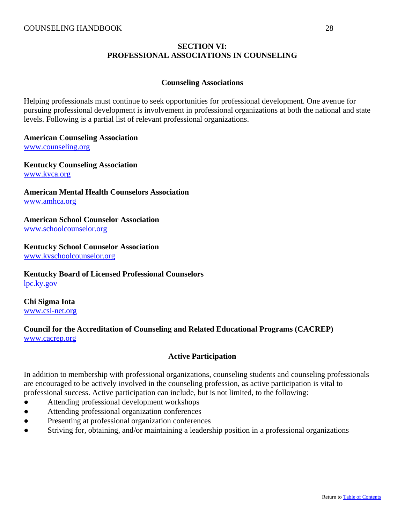# **SECTION VI: PROFESSIONAL ASSOCIATIONS IN COUNSELING**

#### **Counseling Associations**

<span id="page-30-0"></span>Helping professionals must continue to seek opportunities for professional development. One avenue for pursuing professional development is involvement in professional organizations at both the national and state levels. Following is a partial list of relevant professional organizations.

#### **American Counseling Association**

[www.counseling.org](http://www.counseling.org/) 

**Kentucky Counseling Association** [www.kyca.org](http://www.kyca.org/)

**American Mental Health Counselors Association**  [www.amhca.org](http://www.amhca.org/) 

# **American School Counselor Association**

[www.schoolcounselor.org](http://www.schoolcounselor.org/) 

# **Kentucky School Counselor Association**

[www.kyschoolcounselor.org](http://www.kyschoolcounselor.org/)

# **Kentucky Board of Licensed Professional Counselors** [lpc.ky.gov](http://lpc.ky.gov/)

**Chi Sigma Iota** [www.csi-net.org](http://www.csi-net.org/)

# <span id="page-30-1"></span>**Council for the Accreditation of Counseling and Related Educational Programs (CACREP)** [www.cacrep.org](http://www.cacrep.org/)

# **Active Participation**

In addition to membership with professional organizations, counseling students and counseling professionals are encouraged to be actively involved in the counseling profession, as active participation is vital to professional success. Active participation can include, but is not limited, to the following:

- Attending professional development workshops
- Attending professional organization conferences
- Presenting at professional organization conferences
- Striving for, obtaining, and/or maintaining a leadership position in a professional organizations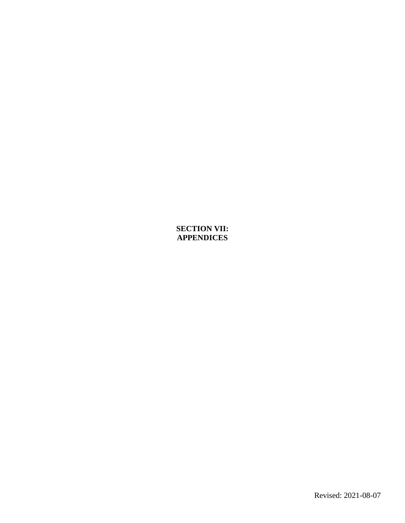# <span id="page-31-1"></span><span id="page-31-0"></span>**SECTION VII: APPENDICES**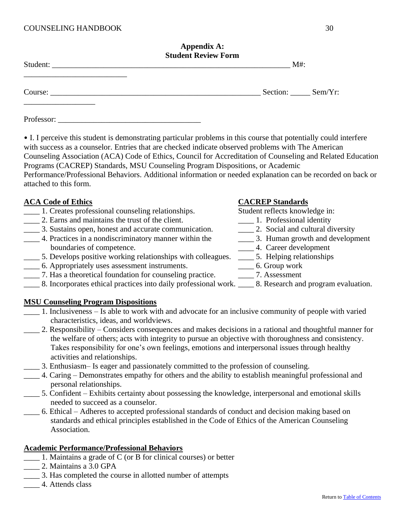|                                                                                                                       | <b>Appendix A:</b><br><b>Student Review Form</b> |                  |  |
|-----------------------------------------------------------------------------------------------------------------------|--------------------------------------------------|------------------|--|
| <u> 1990 - Johann Harry Harry Harry Harry Harry Harry Harry Harry Harry Harry Harry Harry Harry Harry Harry Harry</u> |                                                  | $M#$ :           |  |
|                                                                                                                       |                                                  | Section: Sem/Yr: |  |
|                                                                                                                       |                                                  |                  |  |

• I. I perceive this student is demonstrating particular problems in this course that potentially could interfere with success as a counselor. Entries that are checked indicate observed problems with The American Counseling Association (ACA) Code of Ethics, Council for Accreditation of Counseling and Related Education Programs (CACREP) Standards, MSU Counseling Program Dispositions, or Academic Performance/Professional Behaviors. Additional information or needed explanation can be recorded on back or attached to this form.

- 1. Creates professional counseling relationships. Student reflects knowledge in:
- 2. Earns and maintains the trust of the client. 2. Professional identity
- 
- \_\_\_\_ 3. Sustains open, honest and accurate communication. \_\_\_\_ 2. Social and cultural diversity \_\_\_\_ 4. Practices in a nondiscriminatory manner within the \_\_\_\_ 3. Human growth and development boundaries of competence.  $\overline{a}$  4. Career development
- 5. Develops positive working relationships with colleagues. \_\_\_\_\_ 5. Helping relationships \_\_\_\_\_ 6. Appropriately uses assessment instruments. \_\_\_\_\_\_\_ 6. Group work
- \_\_\_\_ 6. Appropriately uses assessment instruments. \_\_\_\_ 6. Group work
- \_\_\_\_ 7. Has a theoretical foundation for counseling practice. \_\_\_\_ 7. Assessment
- \_\_\_\_ 8. Incorporates ethical practices into daily professional work. \_\_\_\_ 8. Research and program evaluation.

# **MSU Counseling Program Dispositions**

- 1. Inclusiveness Is able to work with and advocate for an inclusive community of people with varied characteristics, ideas, and worldviews.
- \_\_\_\_ 2. Responsibility Considers consequences and makes decisions in a rational and thoughtful manner for the welfare of others; acts with integrity to pursue an objective with thoroughness and consistency. Takes responsibility for one's own feelings, emotions and interpersonal issues through healthy activities and relationships.
- \_\_\_\_ 3. Enthusiasm– Is eager and passionately committed to the profession of counseling.
- \_\_\_\_ 4. Caring Demonstrates empathy for others and the ability to establish meaningful professional and personal relationships.
- \_\_\_\_ 5. Confident Exhibits certainty about possessing the knowledge, interpersonal and emotional skills needed to succeed as a counselor.
- \_\_\_\_ 6. Ethical Adheres to accepted professional standards of conduct and decision making based on standards and ethical principles established in the Code of Ethics of the American Counseling Association.

# **Academic Performance/Professional Behaviors**

- \_\_\_\_ 1. Maintains a grade of C (or B for clinical courses) or better
- \_\_\_\_ 2. Maintains a 3.0 GPA
- \_\_\_\_ 3. Has completed the course in allotted number of attempts
- \_\_\_\_ 4. Attends class

# **ACA Code of Ethics CACREP Standards**

- 
- 
- -
	-
	-
-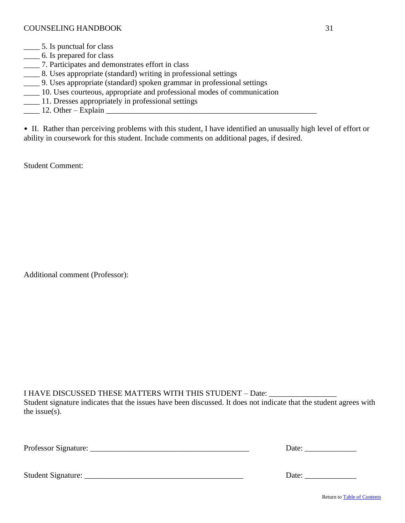- \_\_\_\_ 5. Is punctual for class
- \_\_\_\_ 6. Is prepared for class
- \_\_\_\_ 7. Participates and demonstrates effort in class
- \_\_\_\_ 8. Uses appropriate (standard) writing in professional settings
- \_\_\_\_ 9. Uses appropriate (standard) spoken grammar in professional settings
- \_\_\_\_ 10. Uses courteous, appropriate and professional modes of communication
- \_\_\_\_ 11. Dresses appropriately in professional settings
- $\frac{12. \text{ Other} \text{Explain}}{12. \text{ Other} \text{Explain}}$

• II. Rather than perceiving problems with this student, I have identified an unusually high level of effort or ability in coursework for this student. Include comments on additional pages, if desired.

Student Comment:

Additional comment (Professor):

I HAVE DISCUSSED THESE MATTERS WITH THIS STUDENT - Date:

Student signature indicates that the issues have been discussed. It does not indicate that the student agrees with the issue(s).

| Professor<br>менаш<br>_________<br>. |  |
|--------------------------------------|--|
|                                      |  |

<span id="page-33-0"></span>Student Signature: \_\_\_\_\_\_\_\_\_\_\_\_\_\_\_\_\_\_\_\_\_\_\_\_\_\_\_\_\_\_\_\_\_\_\_\_\_\_\_\_ Date: \_\_\_\_\_\_\_\_\_\_\_\_\_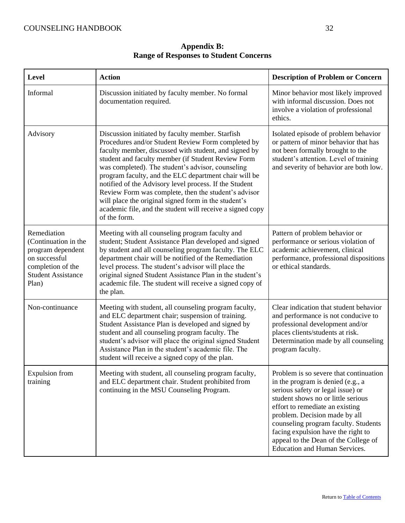<span id="page-34-0"></span>

| Level                                                                                                                                | <b>Action</b>                                                                                                                                                                                                                                                                                                                                                                                                                                                                                                                                                                              | <b>Description of Problem or Concern</b>                                                                                                                                                                                                                                                                                                                                          |
|--------------------------------------------------------------------------------------------------------------------------------------|--------------------------------------------------------------------------------------------------------------------------------------------------------------------------------------------------------------------------------------------------------------------------------------------------------------------------------------------------------------------------------------------------------------------------------------------------------------------------------------------------------------------------------------------------------------------------------------------|-----------------------------------------------------------------------------------------------------------------------------------------------------------------------------------------------------------------------------------------------------------------------------------------------------------------------------------------------------------------------------------|
| Informal                                                                                                                             | Discussion initiated by faculty member. No formal<br>documentation required.                                                                                                                                                                                                                                                                                                                                                                                                                                                                                                               | Minor behavior most likely improved<br>with informal discussion. Does not<br>involve a violation of professional<br>ethics.                                                                                                                                                                                                                                                       |
| Advisory                                                                                                                             | Discussion initiated by faculty member. Starfish<br>Procedures and/or Student Review Form completed by<br>faculty member, discussed with student, and signed by<br>student and faculty member (if Student Review Form<br>was completed). The student's advisor, counseling<br>program faculty, and the ELC department chair will be<br>notified of the Advisory level process. If the Student<br>Review Form was complete, then the student's advisor<br>will place the original signed form in the student's<br>academic file, and the student will receive a signed copy<br>of the form. | Isolated episode of problem behavior<br>or pattern of minor behavior that has<br>not been formally brought to the<br>student's attention. Level of training<br>and severity of behavior are both low.                                                                                                                                                                             |
| Remediation<br>(Continuation in the<br>program dependent<br>on successful<br>completion of the<br><b>Student Assistance</b><br>Plan) | Meeting with all counseling program faculty and<br>student; Student Assistance Plan developed and signed<br>by student and all counseling program faculty. The ELC<br>department chair will be notified of the Remediation<br>level process. The student's advisor will place the<br>original signed Student Assistance Plan in the student's<br>academic file. The student will receive a signed copy of<br>the plan.                                                                                                                                                                     | Pattern of problem behavior or<br>performance or serious violation of<br>academic achievement, clinical<br>performance, professional dispositions<br>or ethical standards.                                                                                                                                                                                                        |
| Non-continuance                                                                                                                      | Meeting with student, all counseling program faculty,<br>and ELC department chair; suspension of training.<br>Student Assistance Plan is developed and signed by<br>student and all counseling program faculty. The<br>student's advisor will place the original signed Student<br>Assistance Plan in the student's academic file. The<br>student will receive a signed copy of the plan.                                                                                                                                                                                                  | Clear indication that student behavior<br>and performance is not conducive to<br>professional development and/or<br>places clients/students at risk.<br>Determination made by all counseling<br>program faculty.                                                                                                                                                                  |
| <b>Expulsion</b> from<br>training                                                                                                    | Meeting with student, all counseling program faculty,<br>and ELC department chair. Student prohibited from<br>continuing in the MSU Counseling Program.                                                                                                                                                                                                                                                                                                                                                                                                                                    | Problem is so severe that continuation<br>in the program is denied (e.g., a<br>serious safety or legal issue) or<br>student shows no or little serious<br>effort to remediate an existing<br>problem. Decision made by all<br>counseling program faculty. Students<br>facing expulsion have the right to<br>appeal to the Dean of the College of<br>Education and Human Services. |

**Appendix B: Range of Responses to Student Concerns**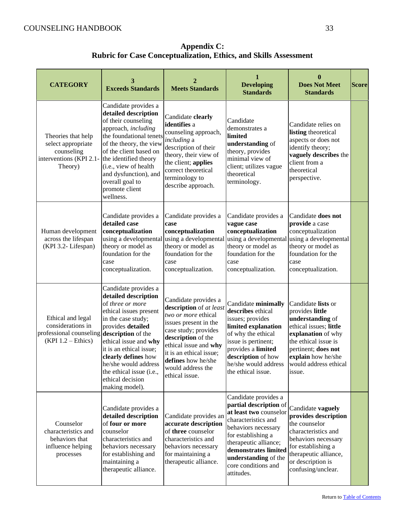| <b>CATEGORY</b>                                                                              | 3<br><b>Exceeds Standards</b>                                                                                                                                                                                                                                                                                                    | 2<br><b>Meets Standards</b>                                                                                                                                                                                                                                    | 1<br><b>Developing</b><br><b>Standards</b>                                                                                                                                                                                                                 | 0<br><b>Does Not Meet</b><br><b>Standards</b>                                                                                                                                                                     | <b>Score</b> |
|----------------------------------------------------------------------------------------------|----------------------------------------------------------------------------------------------------------------------------------------------------------------------------------------------------------------------------------------------------------------------------------------------------------------------------------|----------------------------------------------------------------------------------------------------------------------------------------------------------------------------------------------------------------------------------------------------------------|------------------------------------------------------------------------------------------------------------------------------------------------------------------------------------------------------------------------------------------------------------|-------------------------------------------------------------------------------------------------------------------------------------------------------------------------------------------------------------------|--------------|
| Theories that help<br>select appropriate<br>counseling<br>interventions (KPI 2.1-<br>Theory) | Candidate provides a<br>detailed description<br>of their counseling<br>approach, including<br>the foundational tenets<br>of the theory, the view<br>of the client based on<br>the identified theory<br>(i.e., view of health<br>and dysfunction), and<br>overall goal to<br>promote client<br>wellness.                          | Candidate clearly<br>identifies a<br>counseling approach,<br><i>including</i> a<br>description of their<br>theory, their view of<br>the client; applies<br>correct theoretical<br>terminology to<br>describe approach.                                         | Candidate<br>demonstrates a<br>limited<br>understanding of<br>theory, provides<br>minimal view of<br>client; utilizes vague<br>theoretical<br>terminology.                                                                                                 | Candidate relies on<br>listing theoretical<br>aspects or does not<br>identify theory;<br>vaguely describes the<br>client from a<br>theoretical<br>perspective.                                                    |              |
| Human development<br>across the lifespan<br>(KPI 3.2- Lifespan)                              | Candidate provides a<br>detailed case<br>conceptualization<br>using a developmental<br>theory or model as<br>foundation for the<br>case<br>conceptualization.                                                                                                                                                                    | Candidate provides a<br>case<br>conceptualization<br>using a developmental<br>theory or model as<br>foundation for the<br>case<br>conceptualization.                                                                                                           | Candidate provides a<br>vague case<br>conceptualization<br>using a developmental<br>theory or model as<br>foundation for the<br>case<br>conceptualization.                                                                                                 | Candidate does not<br>provide a case<br>conceptualization<br>using a developmental<br>theory or model as<br>foundation for the<br>case<br>conceptualization.                                                      |              |
| Ethical and legal<br>considerations in<br>professional counseling<br>$(KPI 1.2 - Ethics)$    | Candidate provides a<br>detailed description<br>of three or more<br>ethical issues present<br>in the case study;<br>provides detailed<br>description of the<br>ethical issue and why<br>it is an ethical issue;<br>clearly defines how<br>he/she would address<br>the ethical issue (i.e.,<br>ethical decision<br>making model). | Candidate provides a<br>description of at least<br>two or more ethical<br>issues present in the<br>case study; provides<br>description of the<br>ethical issue and why<br>it is an ethical issue;<br>defines how he/she<br>would address the<br>ethical issue. | Candidate minimally<br>describes ethical<br>issues; provides<br>limited explanation<br>of why the ethical<br>issue is pertinent;<br>provides a limited<br>description of how<br>he/she would address<br>the ethical issue.                                 | Candidate lists or<br>provides little<br>understanding of<br>ethical issues; little<br>explanation of why<br>the ethical issue is<br>pertinent; does not<br>explain how he/she<br>would address ethical<br>issue. |              |
| Counselor<br>characteristics and<br>behaviors that<br>influence helping<br>processes         | Candidate provides a<br>detailed description<br>of four or more<br>counselor<br>characteristics and<br>behaviors necessary<br>for establishing and<br>maintaining a<br>therapeutic alliance.                                                                                                                                     | Candidate provides an<br>accurate description<br>of three counselor<br>characteristics and<br>behaviors necessary<br>for maintaining a<br>therapeutic alliance.                                                                                                | Candidate provides a<br>partial description of<br>at least two counselor<br>characteristics and<br>behaviors necessary<br>for establishing a<br>therapeutic alliance;<br>demonstrates limited<br>understanding of the<br>core conditions and<br>attitudes. | Candidate vaguely<br>provides description<br>the counselor<br>characteristics and<br>behaviors necessary<br>for establishing a<br>therapeutic alliance,<br>or description is<br>confusing/unclear.                |              |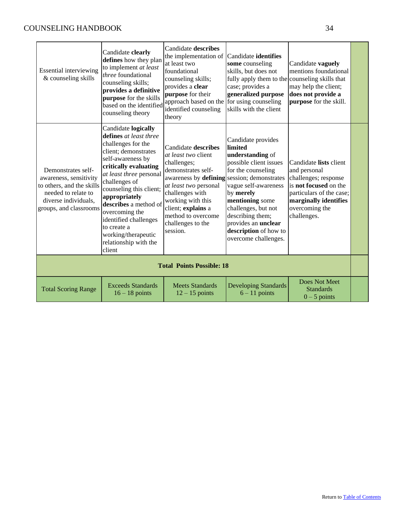<span id="page-36-0"></span>

| <b>Essential interviewing</b><br>& counseling skills                                                                                               | Candidate clearly<br>defines how they plan<br>to implement at least<br><i>three</i> foundational<br>counseling skills;<br>provides a definitive<br>purpose for the skills<br>based on the identified<br>counseling theory                                                                                                                                                      | Candidate describes<br>the implementation of Candidate identifies<br>at least two<br>foundational<br>counseling skills;<br>provides a clear<br>purpose for their<br>approach based on the<br>identified counseling<br>theory                                                        | some counseling<br>skills, but does not<br>fully apply them to the counseling skills that<br>case; provides a<br>generalized purpose<br>for using counseling<br>skills with the client                                                                                       | Candidate vaguely<br>mentions foundational<br>may help the client;<br>does not provide a<br>purpose for the skill.                                                                   |  |
|----------------------------------------------------------------------------------------------------------------------------------------------------|--------------------------------------------------------------------------------------------------------------------------------------------------------------------------------------------------------------------------------------------------------------------------------------------------------------------------------------------------------------------------------|-------------------------------------------------------------------------------------------------------------------------------------------------------------------------------------------------------------------------------------------------------------------------------------|------------------------------------------------------------------------------------------------------------------------------------------------------------------------------------------------------------------------------------------------------------------------------|--------------------------------------------------------------------------------------------------------------------------------------------------------------------------------------|--|
| Demonstrates self-<br>awareness, sensitivity<br>to others, and the skills<br>needed to relate to<br>diverse individuals,<br>groups, and classrooms | Candidate logically<br>defines at least three<br>challenges for the<br>client; demonstrates<br>self-awareness by<br>critically evaluating<br>at least three personal<br>challenges of<br>counseling this client;<br>appropriately<br>describes a method of<br>overcoming the<br>identified challenges<br>to create a<br>working/therapeutic<br>relationship with the<br>client | Candidate describes<br><i>at least two</i> client<br>challenges;<br>demonstrates self-<br>awareness by defining session; demonstrates<br>at least two personal<br>challenges with<br>working with this<br>client; explains a<br>method to overcome<br>challenges to the<br>session. | Candidate provides<br>limited<br>understanding of<br>possible client issues<br>for the counseling<br>vague self-awareness<br>by merely<br>mentioning some<br>challenges, but not<br>describing them;<br>provides an unclear<br>description of how to<br>overcome challenges. | Candidate lists client<br>and personal<br>challenges; response<br>is <b>not focused</b> on the<br>particulars of the case;<br>marginally identifies<br>overcoming the<br>challenges. |  |
|                                                                                                                                                    |                                                                                                                                                                                                                                                                                                                                                                                | <b>Total Points Possible: 18</b>                                                                                                                                                                                                                                                    |                                                                                                                                                                                                                                                                              |                                                                                                                                                                                      |  |
| <b>Total Scoring Range</b>                                                                                                                         | <b>Exceeds Standards</b><br>$16 - 18$ points                                                                                                                                                                                                                                                                                                                                   | <b>Meets Standards</b><br>$12 - 15$ points                                                                                                                                                                                                                                          | <b>Developing Standards</b><br>$6 - 11$ points                                                                                                                                                                                                                               | Does Not Meet<br><b>Standards</b><br>$0 - 5$ points                                                                                                                                  |  |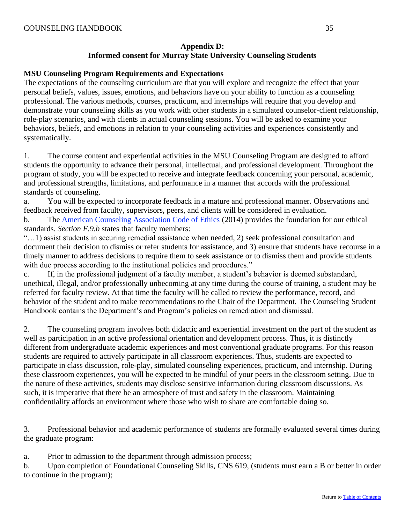# **Appendix D: Informed consent for Murray State University Counseling Students**

## **MSU Counseling Program Requirements and Expectations**

The expectations of the counseling curriculum are that you will explore and recognize the effect that your personal beliefs, values, issues, emotions, and behaviors have on your ability to function as a counseling professional. The various methods, courses, practicum, and internships will require that you develop and demonstrate your counseling skills as you work with other students in a simulated counselor-client relationship, role-play scenarios, and with clients in actual counseling sessions. You will be asked to examine your behaviors, beliefs, and emotions in relation to your counseling activities and experiences consistently and systematically.

1. The course content and experiential activities in the MSU Counseling Program are designed to afford students the opportunity to advance their personal, intellectual, and professional development. Throughout the program of study, you will be expected to receive and integrate feedback concerning your personal, academic, and professional strengths, limitations, and performance in a manner that accords with the professional standards of counseling.

a. You will be expected to incorporate feedback in a mature and professional manner. Observations and feedback received from faculty, supervisors, peers, and clients will be considered in evaluation. b. The [American Counseling Association Code of Ethics](http://www.google.com/url?sa=t&rct=j&q=&esrc=s&source=web&cd=1&ved=0CB8QFjAA&url=http%3A%2F%2Fwww.counseling.org%2Fresources%2Faca-code-of-ethics.pdf&ei=3o_iU_DsE8uPyASZvYCoCA&usg=AFQjCNE_2SMRm-PQGpvwhbFAu249kv80-g&sig2=cZqS4beFq1L_fs2aEGnv4Q&bvm=bv.72197243,d.aWw) (2014) provides the foundation for our ethical

standards. *Section F.9.b* states that faculty members:

"…1) assist students in securing remedial assistance when needed, 2) seek professional consultation and document their decision to dismiss or refer students for assistance, and 3) ensure that students have recourse in a timely manner to address decisions to require them to seek assistance or to dismiss them and provide students with due process according to the institutional policies and procedures."

c. If, in the professional judgment of a faculty member, a student's behavior is deemed substandard, unethical, illegal, and/or professionally unbecoming at any time during the course of training, a student may be referred for faculty review. At that time the faculty will be called to review the performance, record, and behavior of the student and to make recommendations to the Chair of the Department. The Counseling Student Handbook contains the Department's and Program's policies on remediation and dismissal.

2. The counseling program involves both didactic and experiential investment on the part of the student as well as participation in an active professional orientation and development process. Thus, it is distinctly different from undergraduate academic experiences and most conventional graduate programs. For this reason students are required to actively participate in all classroom experiences. Thus, students are expected to participate in class discussion, role-play, simulated counseling experiences, practicum, and internship. During these classroom experiences, you will be expected to be mindful of your peers in the classroom setting. Due to the nature of these activities, students may disclose sensitive information during classroom discussions. As such, it is imperative that there be an atmosphere of trust and safety in the classroom. Maintaining confidentiality affords an environment where those who wish to share are comfortable doing so.

3. Professional behavior and academic performance of students are formally evaluated several times during the graduate program:

a. Prior to admission to the department through admission process;

b. Upon completion of Foundational Counseling Skills, CNS 619, (students must earn a B or better in order to continue in the program);